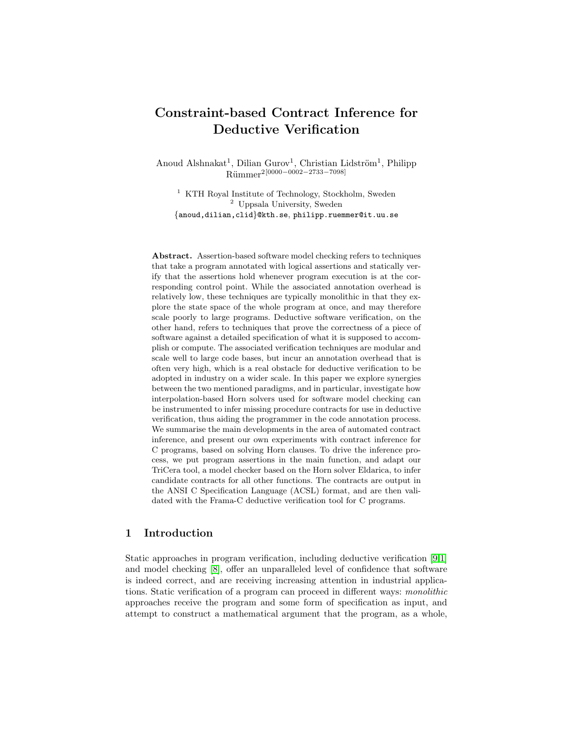# Constraint-based Contract Inference for Deductive Verification

Anoud Alshnakat<sup>1</sup>, Dilian Gurov<sup>1</sup>, Christian Lidström<sup>1</sup>, Philipp R¨ummer2[0000−0002−2733−7098]

<sup>1</sup> KTH Royal Institute of Technology, Stockholm, Sweden <sup>2</sup> Uppsala University, Sweden {anoud,dilian,clid}@kth.se, philipp.ruemmer@it.uu.se

Abstract. Assertion-based software model checking refers to techniques that take a program annotated with logical assertions and statically verify that the assertions hold whenever program execution is at the corresponding control point. While the associated annotation overhead is relatively low, these techniques are typically monolithic in that they explore the state space of the whole program at once, and may therefore scale poorly to large programs. Deductive software verification, on the other hand, refers to techniques that prove the correctness of a piece of software against a detailed specification of what it is supposed to accomplish or compute. The associated verification techniques are modular and scale well to large code bases, but incur an annotation overhead that is often very high, which is a real obstacle for deductive verification to be adopted in industry on a wider scale. In this paper we explore synergies between the two mentioned paradigms, and in particular, investigate how interpolation-based Horn solvers used for software model checking can be instrumented to infer missing procedure contracts for use in deductive verification, thus aiding the programmer in the code annotation process. We summarise the main developments in the area of automated contract inference, and present our own experiments with contract inference for C programs, based on solving Horn clauses. To drive the inference process, we put program assertions in the main function, and adapt our TriCera tool, a model checker based on the Horn solver Eldarica, to infer candidate contracts for all other functions. The contracts are output in the ANSI C Specification Language (ACSL) format, and are then validated with the Frama-C deductive verification tool for C programs.

## 1 Introduction

Static approaches in program verification, including deductive verification [\[9,](#page-25-0)[1\]](#page-25-1) and model checking [\[8\]](#page-25-2), offer an unparalleled level of confidence that software is indeed correct, and are receiving increasing attention in industrial applications. Static verification of a program can proceed in different ways: monolithic approaches receive the program and some form of specification as input, and attempt to construct a mathematical argument that the program, as a whole,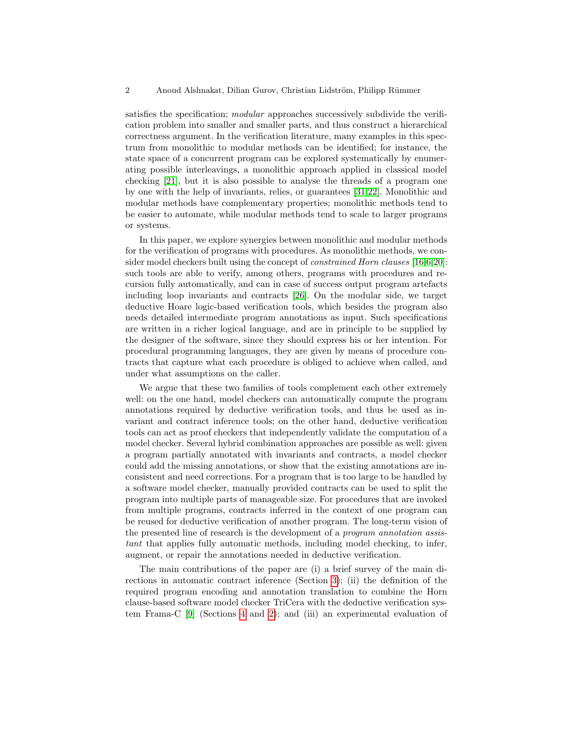satisfies the specification; *modular* approaches successively subdivide the verification problem into smaller and smaller parts, and thus construct a hierarchical correctness argument. In the verification literature, many examples in this spectrum from monolithic to modular methods can be identified; for instance, the state space of a concurrent program can be explored systematically by enumerating possible interleavings, a monolithic approach applied in classical model checking [\[21\]](#page-26-0), but it is also possible to analyse the threads of a program one by one with the help of invariants, relies, or guarantees [\[31,](#page-27-0)[22\]](#page-26-1). Monolithic and modular methods have complementary properties; monolithic methods tend to be easier to automate, while modular methods tend to scale to larger programs or systems.

In this paper, we explore synergies between monolithic and modular methods for the verification of programs with procedures. As monolithic methods, we consider model checkers built using the concept of constrained Horn clauses [\[16](#page-26-2)[,6,](#page-25-3)[20\]](#page-26-3): such tools are able to verify, among others, programs with procedures and recursion fully automatically, and can in case of success output program artefacts including loop invariants and contracts [\[26\]](#page-26-4). On the modular side, we target deductive Hoare logic-based verification tools, which besides the program also needs detailed intermediate program annotations as input. Such specifications are written in a richer logical language, and are in principle to be supplied by the designer of the software, since they should express his or her intention. For procedural programming languages, they are given by means of procedure contracts that capture what each procedure is obliged to achieve when called, and under what assumptions on the caller.

We argue that these two families of tools complement each other extremely well: on the one hand, model checkers can automatically compute the program annotations required by deductive verification tools, and thus be used as invariant and contract inference tools; on the other hand, deductive verification tools can act as proof checkers that independently validate the computation of a model checker. Several hybrid combination approaches are possible as well: given a program partially annotated with invariants and contracts, a model checker could add the missing annotations, or show that the existing annotations are inconsistent and need corrections. For a program that is too large to be handled by a software model checker, manually provided contracts can be used to split the program into multiple parts of manageable size. For procedures that are invoked from multiple programs, contracts inferred in the context of one program can be reused for deductive verification of another program. The long-term vision of the presented line of research is the development of a program annotation assistant that applies fully automatic methods, including model checking, to infer, augment, or repair the annotations needed in deductive verification.

The main contributions of the paper are (i) a brief survey of the main directions in automatic contract inference (Section [3\)](#page-6-0); (ii) the definition of the required program encoding and annotation translation to combine the Horn clause-based software model checker TriCera with the deductive verification system Frama-C [\[9\]](#page-25-0) (Sections [4](#page-9-0) and [2\)](#page-3-0); and (iii) an experimental evaluation of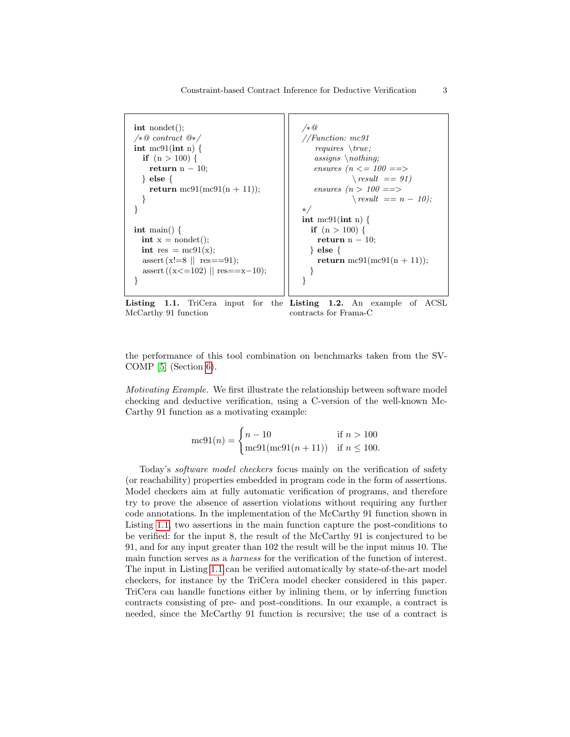```
int nondet();
/∗@ contract @∗/
int mc91(int n) \{if (n > 100) {
    return n - 10;
  } else {
    return mc91(mc91(n + 11));
  }
}
int main() \{int x = nondet();
  int res = mc91(x);
  assert (x!=8 || res == 91);assert ((x \le 102) || res==x-10);
}
                                            /∗@
                                            //Function: mc91
                                               requires \true;
                                               assigns \n\phi;
                                               ensures (n \leq 100 ==\text{result} == 91)ensures (n > 100 ==)\text{result} == n - 10:
                                            ∗/
                                            int mc91(int n) \{if (n > 100) {
                                                return n - 10;
                                              } else {
                                                return mc91(mc91(n + 11));
                                              }
                                            }
```
Listing 1.1. TriCera input for the Listing 1.2. An example of ACSL McCarthy 91 function contracts for Frama-C

the performance of this tool combination on benchmarks taken from the SV-COMP [\[5\]](#page-25-4) (Section [6\)](#page-20-0).

Motivating Example. We first illustrate the relationship between software model checking and deductive verification, using a C-version of the well-known Mc-Carthy 91 function as a motivating example:

$$
mc91(n) = \begin{cases} n - 10 & \text{if } n > 100\\ mc91(mc91(n + 11)) & \text{if } n \le 100. \end{cases}
$$

Today's software model checkers focus mainly on the verification of safety (or reachability) properties embedded in program code in the form of assertions. Model checkers aim at fully automatic verification of programs, and therefore try to prove the absence of assertion violations without requiring any further code annotations. In the implementation of the McCarthy 91 function shown in Listing [1.1,](#page-2-0) two assertions in the main function capture the post-conditions to be verified: for the input 8, the result of the McCarthy 91 is conjectured to be 91, and for any input greater than 102 the result will be the input minus 10. The main function serves as a harness for the verification of the function of interest. The input in Listing [1.1](#page-2-0) can be verified automatically by state-of-the-art model checkers, for instance by the TriCera model checker considered in this paper. TriCera can handle functions either by inlining them, or by inferring function contracts consisting of pre- and post-conditions. In our example, a contract is needed, since the McCarthy 91 function is recursive; the use of a contract is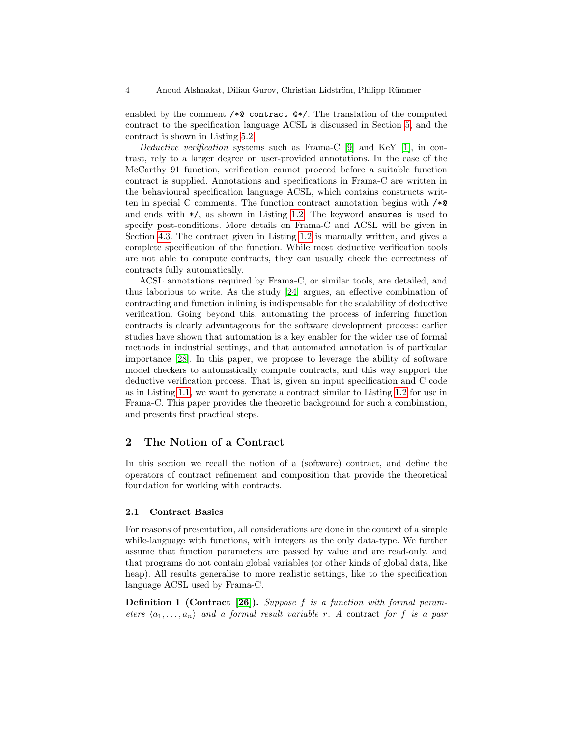enabled by the comment /\*@ contract @\*/. The translation of the computed contract to the specification language ACSL is discussed in Section [5,](#page-16-0) and the contract is shown in Listing [5.2.](#page-18-0)

Deductive verification systems such as Frama-C [\[9\]](#page-25-0) and KeY [\[1\]](#page-25-1), in contrast, rely to a larger degree on user-provided annotations. In the case of the McCarthy 91 function, verification cannot proceed before a suitable function contract is supplied. Annotations and specifications in Frama-C are written in the behavioural specification language ACSL, which contains constructs written in special C comments. The function contract annotation begins with /\*@ and ends with \*/, as shown in Listing [1.2.](#page-2-1) The keyword ensures is used to specify post-conditions. More details on Frama-C and ACSL will be given in Section [4.3.](#page-15-0) The contract given in Listing [1.2](#page-2-1) is manually written, and gives a complete specification of the function. While most deductive verification tools are not able to compute contracts, they can usually check the correctness of contracts fully automatically.

ACSL annotations required by Frama-C, or similar tools, are detailed, and thus laborious to write. As the study [\[24\]](#page-26-5) argues, an effective combination of contracting and function inlining is indispensable for the scalability of deductive verification. Going beyond this, automating the process of inferring function contracts is clearly advantageous for the software development process: earlier studies have shown that automation is a key enabler for the wider use of formal methods in industrial settings, and that automated annotation is of particular importance [\[28\]](#page-27-1). In this paper, we propose to leverage the ability of software model checkers to automatically compute contracts, and this way support the deductive verification process. That is, given an input specification and C code as in Listing [1.1,](#page-2-0) we want to generate a contract similar to Listing [1.2](#page-2-1) for use in Frama-C. This paper provides the theoretic background for such a combination, and presents first practical steps.

## <span id="page-3-0"></span>2 The Notion of a Contract

In this section we recall the notion of a (software) contract, and define the operators of contract refinement and composition that provide the theoretical foundation for working with contracts.

#### <span id="page-3-1"></span>2.1 Contract Basics

For reasons of presentation, all considerations are done in the context of a simple while-language with functions, with integers as the only data-type. We further assume that function parameters are passed by value and are read-only, and that programs do not contain global variables (or other kinds of global data, like heap). All results generalise to more realistic settings, like to the specification language ACSL used by Frama-C.

Definition 1 (Contract [\[26\]](#page-26-4)). Suppose f is a function with formal parameters  $\langle a_1, \ldots, a_n \rangle$  and a formal result variable r. A contract for f is a pair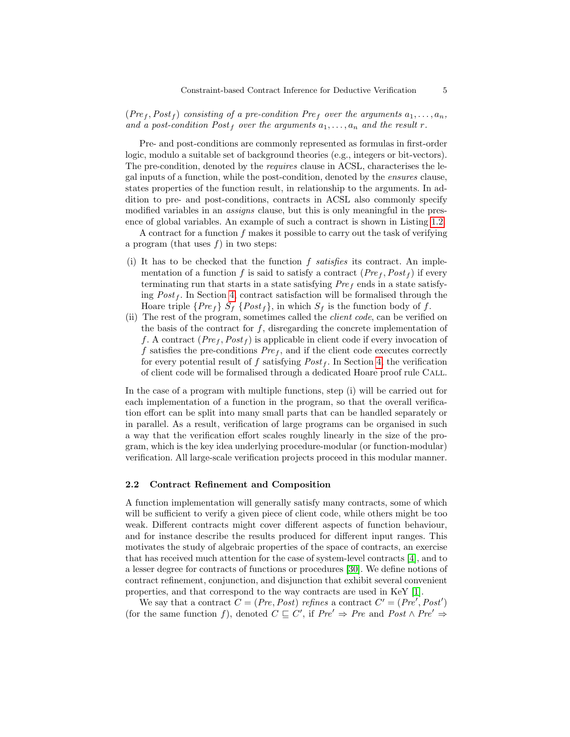$(Pre<sub>f</sub>, Post<sub>f</sub>)$  consisting of a pre-condition Pre<sub>f</sub> over the arguments  $a_1, \ldots, a_n$ , and a post-condition Post f over the arguments  $a_1, \ldots, a_n$  and the result r.

Pre- and post-conditions are commonly represented as formulas in first-order logic, modulo a suitable set of background theories (e.g., integers or bit-vectors). The pre-condition, denoted by the *requires* clause in ACSL, characterises the legal inputs of a function, while the post-condition, denoted by the ensures clause, states properties of the function result, in relationship to the arguments. In addition to pre- and post-conditions, contracts in ACSL also commonly specify modified variables in an *assigns* clause, but this is only meaningful in the presence of global variables. An example of such a contract is shown in Listing [1.2.](#page-2-1)

A contract for a function  $f$  makes it possible to carry out the task of verifying a program (that uses  $f$ ) in two steps:

- (i) It has to be checked that the function  $f$  satisfies its contract. An implementation of a function f is said to satisfy a contract  $(Pre<sub>f</sub>, Post<sub>f</sub>)$  if every terminating run that starts in a state satisfying  $Pre<sub>f</sub>$  ends in a state satisfying  $Post<sub>f</sub>$ . In Section [4,](#page-9-0) contract satisfaction will be formalised through the Hoare triple  $\{Pre_f\}$   $S_f$   $\{Post_f\}$ , in which  $S_f$  is the function body of f.
- (ii) The rest of the program, sometimes called the client code, can be verified on the basis of the contract for  $f$ , disregarding the concrete implementation of f. A contract  $(Pre<sub>f</sub>, Post<sub>f</sub>)$  is applicable in client code if every invocation of f satisfies the pre-conditions  $Pre<sub>f</sub>$ , and if the client code executes correctly for every potential result of f satisfying  $Post<sub>f</sub>$ . In Section [4,](#page-9-0) the verification of client code will be formalised through a dedicated Hoare proof rule Call.

In the case of a program with multiple functions, step (i) will be carried out for each implementation of a function in the program, so that the overall verification effort can be split into many small parts that can be handled separately or in parallel. As a result, verification of large programs can be organised in such a way that the verification effort scales roughly linearly in the size of the program, which is the key idea underlying procedure-modular (or function-modular) verification. All large-scale verification projects proceed in this modular manner.

#### <span id="page-4-0"></span>2.2 Contract Refinement and Composition

A function implementation will generally satisfy many contracts, some of which will be sufficient to verify a given piece of client code, while others might be too weak. Different contracts might cover different aspects of function behaviour, and for instance describe the results produced for different input ranges. This motivates the study of algebraic properties of the space of contracts, an exercise that has received much attention for the case of system-level contracts [\[4\]](#page-25-5), and to a lesser degree for contracts of functions or procedures [\[30\]](#page-27-2). We define notions of contract refinement, conjunction, and disjunction that exhibit several convenient properties, and that correspond to the way contracts are used in KeY [\[1\]](#page-25-1).

We say that a contract  $C = (Pre, Post)$  refines a contract  $C' = (Pre', Post')$ (for the same function f), denoted  $C \subseteq C'$ , if  $Pre' \Rightarrow Pre$  and  $Post \wedge Pre' \Rightarrow$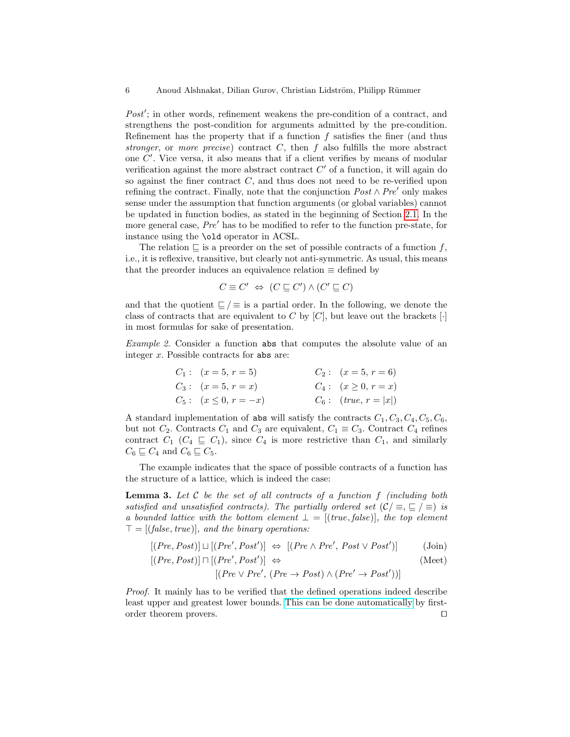$Post'$ ; in other words, refinement weakens the pre-condition of a contract, and strengthens the post-condition for arguments admitted by the pre-condition. Refinement has the property that if a function  $f$  satisfies the finer (and thus stronger, or more precise) contract  $C$ , then  $f$  also fulfills the more abstract one  $C'$ . Vice versa, it also means that if a client verifies by means of modular verification against the more abstract contract  $C'$  of a function, it will again do so against the finer contract  $C$ , and thus does not need to be re-verified upon refining the contract. Finally, note that the conjunction  $Post \wedge Pre'$  only makes sense under the assumption that function arguments (or global variables) cannot be updated in function bodies, as stated in the beginning of Section [2.1.](#page-3-1) In the more general case,  $Pre'$  has to be modified to refer to the function pre-state, for instance using the \old operator in ACSL.

The relation  $\Box$  is a preorder on the set of possible contracts of a function f, i.e., it is reflexive, transitive, but clearly not anti-symmetric. As usual, this means that the preorder induces an equivalence relation  $\equiv$  defined by

$$
C \equiv C' \Leftrightarrow (C \sqsubseteq C') \wedge (C' \sqsubseteq C)
$$

and that the quotient  $\Gamma \subseteq \mathcal{I} \equiv \mathcal{I}$  is a partial order. In the following, we denote the class of contracts that are equivalent to C by  $[C]$ , but leave out the brackets  $[\cdot]$ in most formulas for sake of presentation.

<span id="page-5-0"></span>Example 2. Consider a function abs that computes the absolute value of an integer x. Possible contracts for abs are:

$$
C_1: (x = 5, r = 5)
$$
  
\n
$$
C_3: (x = 5, r = x)
$$
  
\n
$$
C_4: (x \ge 0, r = x)
$$
  
\n
$$
C_5: (x \le 0, r = -x)
$$
  
\n
$$
C_6: (true, r = |x|)
$$

A standard implementation of abs will satisfy the contracts  $C_1, C_3, C_4, C_5, C_6$ , but not  $C_2$ . Contracts  $C_1$  and  $C_3$  are equivalent,  $C_1 \equiv C_3$ . Contract  $C_4$  refines contract  $C_1$   $(C_4 \subseteq C_1)$ , since  $C_4$  is more restrictive than  $C_1$ , and similarly  $C_6 \sqsubseteq C_4$  and  $C_6 \sqsubseteq C_5$ .

The example indicates that the space of possible contracts of a function has the structure of a lattice, which is indeed the case:

**Lemma 3.** Let  $C$  be the set of all contracts of a function  $f$  (including both satisfied and unsatisfied contracts). The partially ordered set  $(\mathcal{C}/\equiv, \sqsubseteq/\equiv)$  is a bounded lattice with the bottom element  $\bot = [(true, false)]$ , the top element  $\top = [(false, true)],$  and the binary operations:

$$
[(Pre, Post)] \sqcup [(Pre', Post')] \Leftrightarrow [(Pre \wedge Pre', Post \vee Post')]
$$
(Join)

$$
[(Pre, Post)] \sqcap [(Pre', Post')] \Leftrightarrow
$$
  
[(Pre \lor Pre', (Pre \to Post) \land (Pre' \to Post'))] (Meet)

Proof. It mainly has to be verified that the defined operations indeed describe least upper and greatest lower bounds. [This can be done automatically](http://logicrunch.it.uu.se:4096/~wv/princess/?ex=perma%2F1589530284_2006632332) by firstorder theorem provers.  $\Box$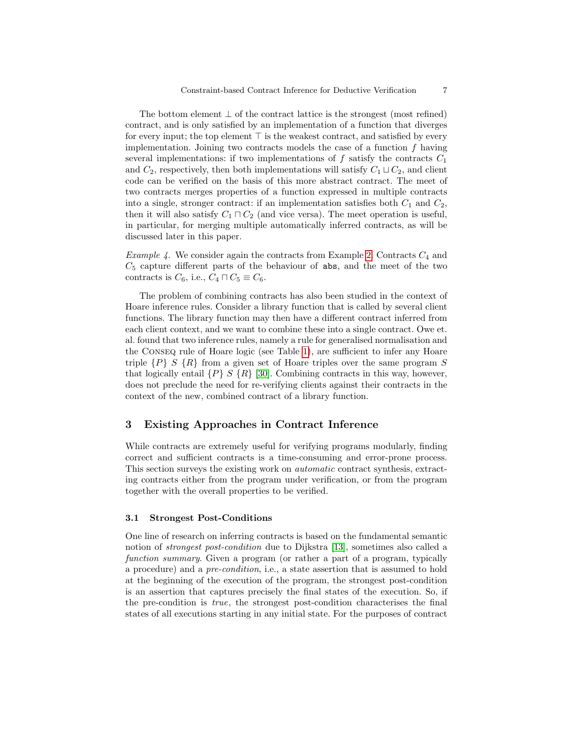The bottom element  $\perp$  of the contract lattice is the strongest (most refined) contract, and is only satisfied by an implementation of a function that diverges for every input; the top element  $\top$  is the weakest contract, and satisfied by every implementation. Joining two contracts models the case of a function  $f$  having several implementations: if two implementations of  $f$  satisfy the contracts  $C_1$ and  $C_2$ , respectively, then both implementations will satisfy  $C_1 \sqcup C_2$ , and client code can be verified on the basis of this more abstract contract. The meet of two contracts merges properties of a function expressed in multiple contracts into a single, stronger contract: if an implementation satisfies both  $C_1$  and  $C_2$ , then it will also satisfy  $C_1 \sqcap C_2$  (and vice versa). The meet operation is useful, in particular, for merging multiple automatically inferred contracts, as will be discussed later in this paper.

*Example 4.* We consider again the contracts from Example [2.](#page-5-0) Contracts  $C_4$  and  $C_5$  capture different parts of the behaviour of abs, and the meet of the two contracts is  $C_6$ , i.e.,  $C_4 \sqcap C_5 \equiv C_6$ .

The problem of combining contracts has also been studied in the context of Hoare inference rules. Consider a library function that is called by several client functions. The library function may then have a different contract inferred from each client context, and we want to combine these into a single contract. Owe et. al. found that two inference rules, namely a rule for generalised normalisation and the Conseq rule of Hoare logic (see Table [1\)](#page-10-0), are sufficient to infer any Hoare triple  $\{P\} S \{R\}$  from a given set of Hoare triples over the same program S that logically entail  $\{P\} S \{R\}$  [\[30\]](#page-27-2). Combining contracts in this way, however, does not preclude the need for re-verifying clients against their contracts in the context of the new, combined contract of a library function.

## <span id="page-6-0"></span>3 Existing Approaches in Contract Inference

While contracts are extremely useful for verifying programs modularly, finding correct and sufficient contracts is a time-consuming and error-prone process. This section surveys the existing work on automatic contract synthesis, extracting contracts either from the program under verification, or from the program together with the overall properties to be verified.

#### <span id="page-6-1"></span>3.1 Strongest Post-Conditions

One line of research on inferring contracts is based on the fundamental semantic notion of strongest post-condition due to Dijkstra [\[13\]](#page-26-6), sometimes also called a function summary. Given a program (or rather a part of a program, typically a procedure) and a pre-condition, i.e., a state assertion that is assumed to hold at the beginning of the execution of the program, the strongest post-condition is an assertion that captures precisely the final states of the execution. So, if the pre-condition is true, the strongest post-condition characterises the final states of all executions starting in any initial state. For the purposes of contract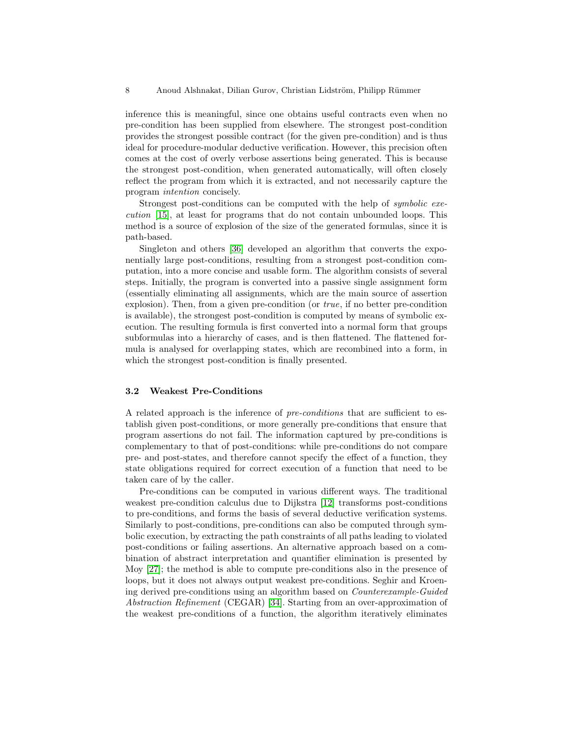inference this is meaningful, since one obtains useful contracts even when no pre-condition has been supplied from elsewhere. The strongest post-condition provides the strongest possible contract (for the given pre-condition) and is thus ideal for procedure-modular deductive verification. However, this precision often comes at the cost of overly verbose assertions being generated. This is because the strongest post-condition, when generated automatically, will often closely reflect the program from which it is extracted, and not necessarily capture the program intention concisely.

Strongest post-conditions can be computed with the help of symbolic execution [\[15\]](#page-26-7), at least for programs that do not contain unbounded loops. This method is a source of explosion of the size of the generated formulas, since it is path-based.

Singleton and others [\[36\]](#page-27-3) developed an algorithm that converts the exponentially large post-conditions, resulting from a strongest post-condition computation, into a more concise and usable form. The algorithm consists of several steps. Initially, the program is converted into a passive single assignment form (essentially eliminating all assignments, which are the main source of assertion explosion). Then, from a given pre-condition (or true, if no better pre-condition is available), the strongest post-condition is computed by means of symbolic execution. The resulting formula is first converted into a normal form that groups subformulas into a hierarchy of cases, and is then flattened. The flattened formula is analysed for overlapping states, which are recombined into a form, in which the strongest post-condition is finally presented.

#### 3.2 Weakest Pre-Conditions

A related approach is the inference of pre-conditions that are sufficient to establish given post-conditions, or more generally pre-conditions that ensure that program assertions do not fail. The information captured by pre-conditions is complementary to that of post-conditions: while pre-conditions do not compare pre- and post-states, and therefore cannot specify the effect of a function, they state obligations required for correct execution of a function that need to be taken care of by the caller.

Pre-conditions can be computed in various different ways. The traditional weakest pre-condition calculus due to Dijkstra [\[12\]](#page-26-8) transforms post-conditions to pre-conditions, and forms the basis of several deductive verification systems. Similarly to post-conditions, pre-conditions can also be computed through symbolic execution, by extracting the path constraints of all paths leading to violated post-conditions or failing assertions. An alternative approach based on a combination of abstract interpretation and quantifier elimination is presented by Moy [\[27\]](#page-27-4); the method is able to compute pre-conditions also in the presence of loops, but it does not always output weakest pre-conditions. Seghir and Kroening derived pre-conditions using an algorithm based on Counterexample-Guided Abstraction Refinement (CEGAR) [\[34\]](#page-27-5). Starting from an over-approximation of the weakest pre-conditions of a function, the algorithm iteratively eliminates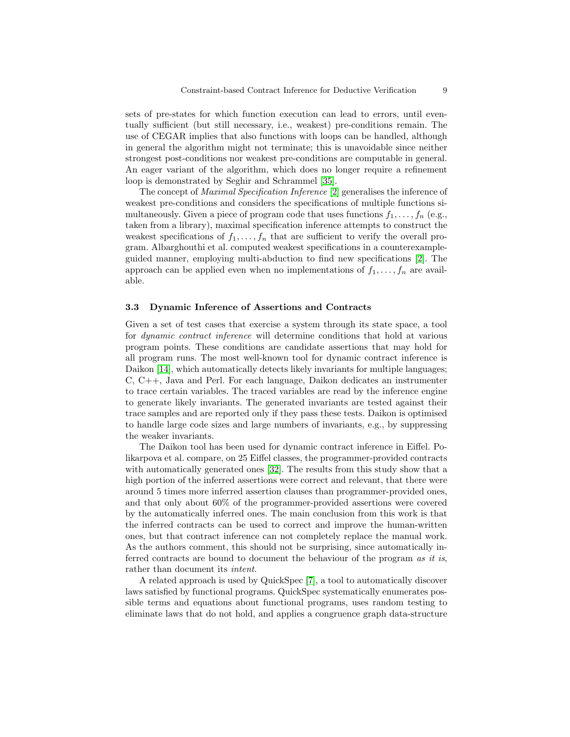sets of pre-states for which function execution can lead to errors, until eventually sufficient (but still necessary, i.e., weakest) pre-conditions remain. The use of CEGAR implies that also functions with loops can be handled, although in general the algorithm might not terminate; this is unavoidable since neither strongest post-conditions nor weakest pre-conditions are computable in general. An eager variant of the algorithm, which does no longer require a refinement loop is demonstrated by Seghir and Schrammel [\[35\]](#page-27-6).

The concept of Maximal Specification Inference [\[2\]](#page-25-6) generalises the inference of weakest pre-conditions and considers the specifications of multiple functions simultaneously. Given a piece of program code that uses functions  $f_1, \ldots, f_n$  (e.g., taken from a library), maximal specification inference attempts to construct the weakest specifications of  $f_1, \ldots, f_n$  that are sufficient to verify the overall program. Albarghouthi et al. computed weakest specifications in a counterexampleguided manner, employing multi-abduction to find new specifications [\[2\]](#page-25-6). The approach can be applied even when no implementations of  $f_1, \ldots, f_n$  are available.

#### 3.3 Dynamic Inference of Assertions and Contracts

Given a set of test cases that exercise a system through its state space, a tool for dynamic contract inference will determine conditions that hold at various program points. These conditions are candidate assertions that may hold for all program runs. The most well-known tool for dynamic contract inference is Daikon [\[14\]](#page-26-9), which automatically detects likely invariants for multiple languages; C, C++, Java and Perl. For each language, Daikon dedicates an instrumenter to trace certain variables. The traced variables are read by the inference engine to generate likely invariants. The generated invariants are tested against their trace samples and are reported only if they pass these tests. Daikon is optimised to handle large code sizes and large numbers of invariants, e.g., by suppressing the weaker invariants.

The Daikon tool has been used for dynamic contract inference in Eiffel. Polikarpova et al. compare, on 25 Eiffel classes, the programmer-provided contracts with automatically generated ones [\[32\]](#page-27-7). The results from this study show that a high portion of the inferred assertions were correct and relevant, that there were around 5 times more inferred assertion clauses than programmer-provided ones, and that only about 60% of the programmer-provided assertions were covered by the automatically inferred ones. The main conclusion from this work is that the inferred contracts can be used to correct and improve the human-written ones, but that contract inference can not completely replace the manual work. As the authors comment, this should not be surprising, since automatically inferred contracts are bound to document the behaviour of the program as it is, rather than document its intent.

A related approach is used by QuickSpec [\[7\]](#page-25-7), a tool to automatically discover laws satisfied by functional programs. QuickSpec systematically enumerates possible terms and equations about functional programs, uses random testing to eliminate laws that do not hold, and applies a congruence graph data-structure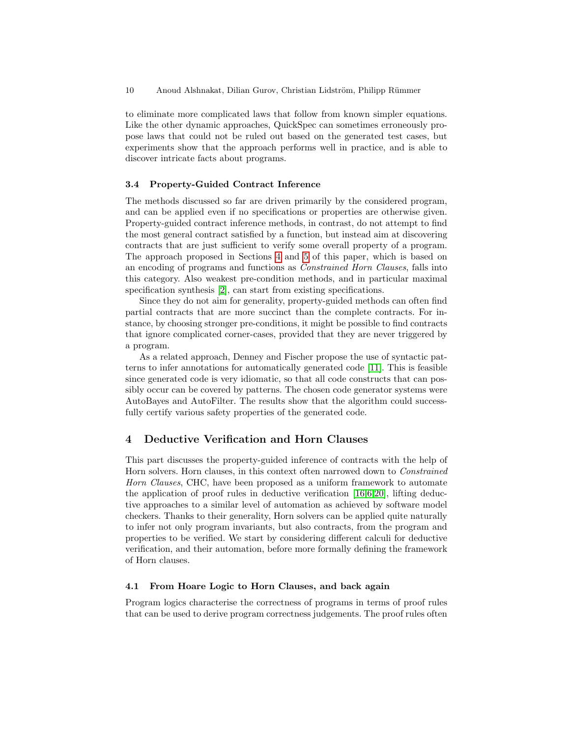to eliminate more complicated laws that follow from known simpler equations. Like the other dynamic approaches, QuickSpec can sometimes erroneously propose laws that could not be ruled out based on the generated test cases, but experiments show that the approach performs well in practice, and is able to discover intricate facts about programs.

### 3.4 Property-Guided Contract Inference

The methods discussed so far are driven primarily by the considered program, and can be applied even if no specifications or properties are otherwise given. Property-guided contract inference methods, in contrast, do not attempt to find the most general contract satisfied by a function, but instead aim at discovering contracts that are just sufficient to verify some overall property of a program. The approach proposed in Sections [4](#page-9-0) and [5](#page-16-0) of this paper, which is based on an encoding of programs and functions as Constrained Horn Clauses, falls into this category. Also weakest pre-condition methods, and in particular maximal specification synthesis [\[2\]](#page-25-6), can start from existing specifications.

Since they do not aim for generality, property-guided methods can often find partial contracts that are more succinct than the complete contracts. For instance, by choosing stronger pre-conditions, it might be possible to find contracts that ignore complicated corner-cases, provided that they are never triggered by a program.

As a related approach, Denney and Fischer propose the use of syntactic patterns to infer annotations for automatically generated code [\[11\]](#page-25-8). This is feasible since generated code is very idiomatic, so that all code constructs that can possibly occur can be covered by patterns. The chosen code generator systems were AutoBayes and AutoFilter. The results show that the algorithm could successfully certify various safety properties of the generated code.

## <span id="page-9-0"></span>4 Deductive Verification and Horn Clauses

This part discusses the property-guided inference of contracts with the help of Horn solvers. Horn clauses, in this context often narrowed down to Constrained Horn Clauses, CHC, have been proposed as a uniform framework to automate the application of proof rules in deductive verification [\[16,](#page-26-2)[6,](#page-25-3)[20\]](#page-26-3), lifting deductive approaches to a similar level of automation as achieved by software model checkers. Thanks to their generality, Horn solvers can be applied quite naturally to infer not only program invariants, but also contracts, from the program and properties to be verified. We start by considering different calculi for deductive verification, and their automation, before more formally defining the framework of Horn clauses.

#### <span id="page-9-1"></span>4.1 From Hoare Logic to Horn Clauses, and back again

Program logics characterise the correctness of programs in terms of proof rules that can be used to derive program correctness judgements. The proof rules often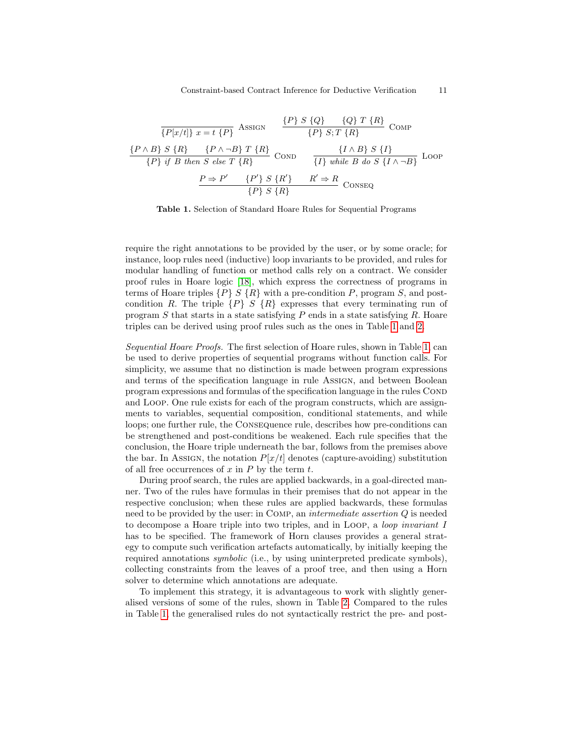Constraint-based Contract Inference for Deductive Verification 11

$$
\frac{\{P\} S \{Q\} \quad \{Q\} \quad T \{R\}}{\{P \{B\} \quad S \{R\} \quad \{P \} \quad R\}} \quad \text{Comp}
$$
\n
$$
\frac{\{P \} S \{Q\} \quad \{Q\} \quad T \{R\}}{\{P\} \quad S \{R\} \quad \{P \} \quad \{P \} \quad S \{R\}} \quad \text{Comp}
$$
\n
$$
\frac{\{P \} S \{R\} \quad \{P \} \quad T \{R\}}{\{P\} \quad \{B \} \quad \text{then} \quad S \quad \text{else} \quad T \{R\}} \quad \text{Comp}
$$
\n
$$
\frac{P \Rightarrow P' \quad \{P'\} \quad S \{R'\} \quad R' \Rightarrow R}{\{P\} \quad S \{R\}} \quad \text{ConSEQ}
$$

<span id="page-10-0"></span>Table 1. Selection of Standard Hoare Rules for Sequential Programs

require the right annotations to be provided by the user, or by some oracle; for instance, loop rules need (inductive) loop invariants to be provided, and rules for modular handling of function or method calls rely on a contract. We consider proof rules in Hoare logic [\[18\]](#page-26-10), which express the correctness of programs in terms of Hoare triples  $\{P\} S \{R\}$  with a pre-condition P, program S, and postcondition R. The triple  $\{P\} S \{R\}$  expresses that every terminating run of program  $S$  that starts in a state satisfying  $P$  ends in a state satisfying  $R$ . Hoare triples can be derived using proof rules such as the ones in Table [1](#page-10-0) and [2.](#page-11-0)

Sequential Hoare Proofs. The first selection of Hoare rules, shown in Table [1,](#page-10-0) can be used to derive properties of sequential programs without function calls. For simplicity, we assume that no distinction is made between program expressions and terms of the specification language in rule Assign, and between Boolean program expressions and formulas of the specification language in the rules Cond and Loop. One rule exists for each of the program constructs, which are assignments to variables, sequential composition, conditional statements, and while loops; one further rule, the Consequence rule, describes how pre-conditions can be strengthened and post-conditions be weakened. Each rule specifies that the conclusion, the Hoare triple underneath the bar, follows from the premises above the bar. In Assign, the notation  $P[x/t]$  denotes (capture-avoiding) substitution of all free occurrences of  $x$  in  $P$  by the term  $t$ .

During proof search, the rules are applied backwards, in a goal-directed manner. Two of the rules have formulas in their premises that do not appear in the respective conclusion; when these rules are applied backwards, these formulas need to be provided by the user: in Comp, an intermediate assertion Q is needed to decompose a Hoare triple into two triples, and in Loop, a loop invariant I has to be specified. The framework of Horn clauses provides a general strategy to compute such verification artefacts automatically, by initially keeping the required annotations *symbolic* (i.e., by using uninterpreted predicate symbols), collecting constraints from the leaves of a proof tree, and then using a Horn solver to determine which annotations are adequate.

To implement this strategy, it is advantageous to work with slightly generalised versions of some of the rules, shown in Table [2.](#page-11-0) Compared to the rules in Table [1,](#page-10-0) the generalised rules do not syntactically restrict the pre- and post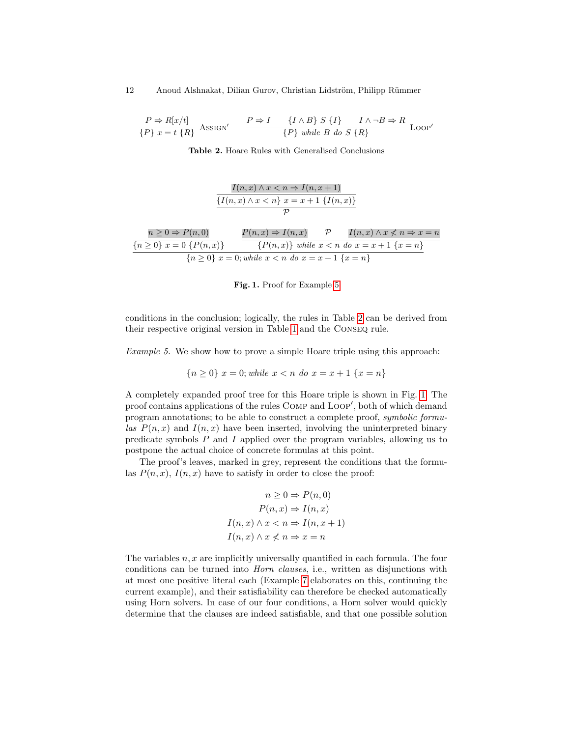12 Anoud Alshnakat, Dilian Gurov, Christian Lidström, Philipp Rümmer

$$
\frac{P \Rightarrow R[x/t]}{\{P\} \ x = t \{R\}} \ \text{Assigm}' \qquad \frac{P \Rightarrow I \qquad \{I \land B\} \ S \ \{I\} \qquad I \land \neg B \Rightarrow R}{\{P\} \ \text{while } B \ \text{do } S \ \{R\}} \ \text{Loop}'
$$

<span id="page-11-0"></span>Table 2. Hoare Rules with Generalised Conclusions

$$
I(n, x) \land x < n \Rightarrow I(n, x + 1)
$$
\n
$$
\{I(n, x) \land x < n\} \quad x = x + 1 \quad \{I(n, x)\}
$$
\n
$$
\mathcal{P}
$$

$$
\frac{n \ge 0 \Rightarrow P(n,0)}{\{n \ge 0\} \ x = 0 \ \{P(n,x)\}} \quad \frac{P(n,x) \Rightarrow I(n,x) \qquad \mathcal{P} \qquad I(n,x) \land x \nless n \Rightarrow x = n}{\{P(n,x)\} \text{ while } x < n \text{ do } x = x+1 \ \{x = n\}}
$$
\n
$$
\{n \ge 0\} \ x = 0; \text{while } x < n \text{ do } x = x+1 \ \{x = n\}
$$

#### <span id="page-11-2"></span>Fig. 1. Proof for Example [5](#page-11-1)

conditions in the conclusion; logically, the rules in Table [2](#page-11-0) can be derived from their respective original version in Table [1](#page-10-0) and the Conseq rule.

<span id="page-11-1"></span>Example 5. We show how to prove a simple Hoare triple using this approach:

$$
\{n \ge 0\} \ x = 0; \text{while } x < n \text{ do } x = x + 1 \ \{x = n\}
$$

A completely expanded proof tree for this Hoare triple is shown in Fig. [1.](#page-11-2) The proof contains applications of the rules COMP and LOOP', both of which demand program annotations; to be able to construct a complete proof, symbolic formulas  $P(n, x)$  and  $I(n, x)$  have been inserted, involving the uninterpreted binary predicate symbols  $P$  and  $I$  applied over the program variables, allowing us to postpone the actual choice of concrete formulas at this point.

The proof's leaves, marked in grey, represent the conditions that the formulas  $P(n, x)$ ,  $I(n, x)$  have to satisfy in order to close the proof:

$$
n \ge 0 \Rightarrow P(n, 0)
$$

$$
P(n, x) \Rightarrow I(n, x)
$$

$$
I(n, x) \land x < n \Rightarrow I(n, x + 1)
$$

$$
I(n, x) \land x \not\le n \Rightarrow x = n
$$

The variables  $n, x$  are implicitly universally quantified in each formula. The four conditions can be turned into Horn clauses, i.e., written as disjunctions with at most one positive literal each (Example [7](#page-14-0) elaborates on this, continuing the current example), and their satisfiability can therefore be checked automatically using Horn solvers. In case of our four conditions, a Horn solver would quickly determine that the clauses are indeed satisfiable, and that one possible solution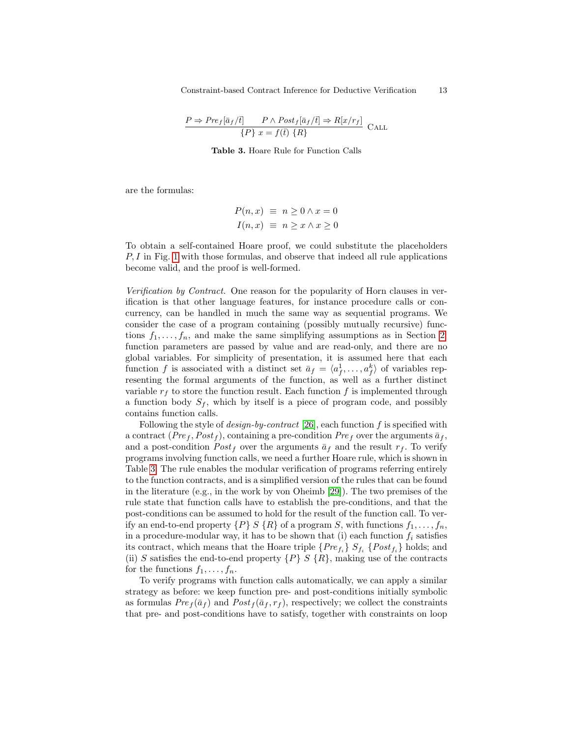$$
\frac{P \Rightarrow Pre_f[\bar{a}_f/\bar{t}]}{\{P\} \ x = f(\bar{t}) \ \{R\}} \xrightarrow{R[x/r_f]} \text{CALL}
$$

<span id="page-12-0"></span>Table 3. Hoare Rule for Function Calls

are the formulas:

$$
P(n,x) \equiv n \ge 0 \land x = 0
$$
  

$$
I(n,x) \equiv n \ge x \land x \ge 0
$$

To obtain a self-contained Hoare proof, we could substitute the placeholders  $P, I$  in Fig. [1](#page-11-2) with those formulas, and observe that indeed all rule applications become valid, and the proof is well-formed.

Verification by Contract. One reason for the popularity of Horn clauses in verification is that other language features, for instance procedure calls or concurrency, can be handled in much the same way as sequential programs. We consider the case of a program containing (possibly mutually recursive) functions  $f_1, \ldots, f_n$ , and make the same simplifying assumptions as in Section [2:](#page-3-0) function parameters are passed by value and are read-only, and there are no global variables. For simplicity of presentation, it is assumed here that each function f is associated with a distinct set  $\bar{a}_f = \langle a_f^1, \ldots, a_f^k \rangle$  of variables representing the formal arguments of the function, as well as a further distinct variable  $r_f$  to store the function result. Each function f is implemented through a function body  $S_f$ , which by itself is a piece of program code, and possibly contains function calls.

Following the style of *design-by-contract* [\[26\]](#page-26-4), each function f is specified with a contract  $(Pre<sub>f</sub>, Post<sub>f</sub>)$ , containing a pre-condition  $Pre<sub>f</sub>$  over the arguments  $\bar{a}<sub>f</sub>$ , and a post-condition  $Post_f$  over the arguments  $\bar{a}_f$  and the result  $r_f$ . To verify programs involving function calls, we need a further Hoare rule, which is shown in Table [3.](#page-12-0) The rule enables the modular verification of programs referring entirely to the function contracts, and is a simplified version of the rules that can be found in the literature (e.g., in the work by von Oheimb [\[29\]](#page-27-8)). The two premises of the rule state that function calls have to establish the pre-conditions, and that the post-conditions can be assumed to hold for the result of the function call. To verify an end-to-end property  $\{P\} S \{R\}$  of a program S, with functions  $f_1, \ldots, f_n$ , in a procedure-modular way, it has to be shown that (i) each function  $f_i$  satisfies its contract, which means that the Hoare triple  $\{Pre_{f_i}\}\ S_{f_i} \{Post_{f_i}\}\$  holds; and (ii) S satisfies the end-to-end property  $\{P\} S \{R\}$ , making use of the contracts for the functions  $f_1, \ldots, f_n$ .

To verify programs with function calls automatically, we can apply a similar strategy as before: we keep function pre- and post-conditions initially symbolic as formulas  $Pre_f(\bar{a}_f)$  and  $Post_f(\bar{a}_f, r_f)$ , respectively; we collect the constraints that pre- and post-conditions have to satisfy, together with constraints on loop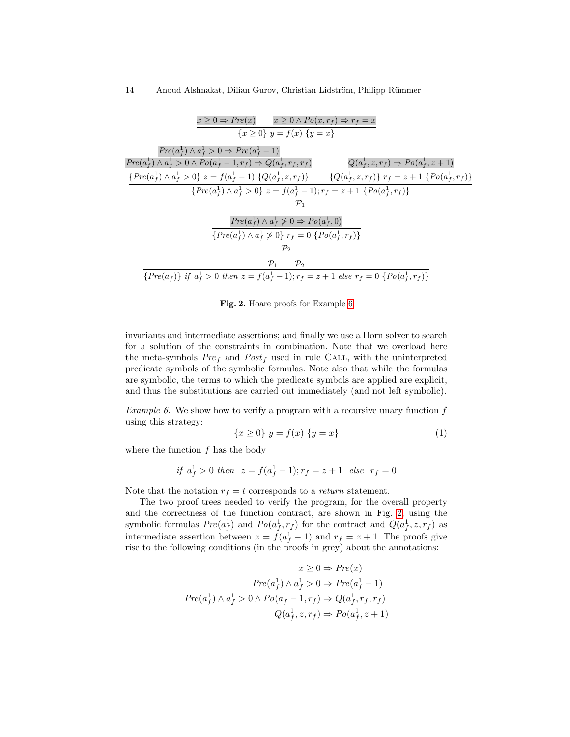$$
\frac{x \ge 0 \Rightarrow Pre(x) \qquad x \ge 0 \land Po(x, r_f) \Rightarrow r_f = x}{\{x \ge 0\} \ y = f(x) \ \{y = x\}}
$$
\n
$$
Pre(a_f^1) \land a_f^1 > 0 \Rightarrow Pre(a_f^1 - 1)
$$
\n
$$
Pre(a_f^1) \land a_f^1 > 0 \land Po(a_f^1 - 1, r_f) \Rightarrow Q(a_f^1, r_f, r_f) \qquad Q(a_f^1, z, r_f) \Rightarrow Po(a_f^1, z + 1)
$$
\n
$$
\{\frac{Pre(a_f^1) \land a_f^1 > 0\} z = f(a_f^1 - 1) \ Q(a_f^1, z, r_f)\}}{\{Pre(a_f^1) \land a_f^1 > 0\} z = f(a_f^1 - 1); r_f = z + 1 \ \{Po(a_f^1, r_f)\}}
$$
\n
$$
Pre(a_f^1) \land a_f^1 \ne 0 \Rightarrow Po(a_f^1, 0)
$$
\n
$$
\{\frac{Pre(a_f^1) \land a_f^1 \ne 0\} r_f = 0 \ \{Po(a_f^1, r_f)\}}{\{P_2}\}}
$$
\n
$$
\frac{P_1}{\{Pre(a_f^1)\} \ if \ a_f^1 > 0 \ then \ z = f(a_f^1 - 1); r_f = z + 1 \ else \ r_f = 0 \ \{Po(a_f^1, r_f)\}}
$$

<span id="page-13-1"></span>Fig. 2. Hoare proofs for Example [6](#page-13-0)

invariants and intermediate assertions; and finally we use a Horn solver to search for a solution of the constraints in combination. Note that we overload here the meta-symbols  $Pre_f$  and  $Post_f$  used in rule CALL, with the uninterpreted predicate symbols of the symbolic formulas. Note also that while the formulas are symbolic, the terms to which the predicate symbols are applied are explicit, and thus the substitutions are carried out immediately (and not left symbolic).

<span id="page-13-0"></span>*Example 6.* We show how to verify a program with a recursive unary function  $f$ using this strategy:

<span id="page-13-2"></span>
$$
\{x \ge 0\} \ y = f(x) \ \{y = x\} \tag{1}
$$

where the function  $f$  has the body

if 
$$
a_f^1 > 0
$$
 then  $z = f(a_f^1 - 1); r_f = z + 1$  else  $r_f = 0$ 

Note that the notation  $r_f = t$  corresponds to a *return* statement.

The two proof trees needed to verify the program, for the overall property and the correctness of the function contract, are shown in Fig. [2,](#page-13-1) using the symbolic formulas  $Pre(a_f^1)$  and  $Po(a_f^1, r_f)$  for the contract and  $Q(a_f^1, z, r_f)$  as intermediate assertion between  $z = f(a_f^1 - 1)$  and  $r_f = z + 1$ . The proofs give rise to the following conditions (in the proofs in grey) about the annotations:

$$
x \ge 0 \Rightarrow Pre(x)
$$

$$
Pre(a_f^1) \land a_f^1 > 0 \Rightarrow Pre(a_f^1 - 1)
$$

$$
Pre(a_f^1) \land a_f^1 > 0 \land Po(a_f^1 - 1, r_f) \Rightarrow Q(a_f^1, r_f, r_f)
$$

$$
Q(a_f^1, z, r_f) \Rightarrow Po(a_f^1, z + 1)
$$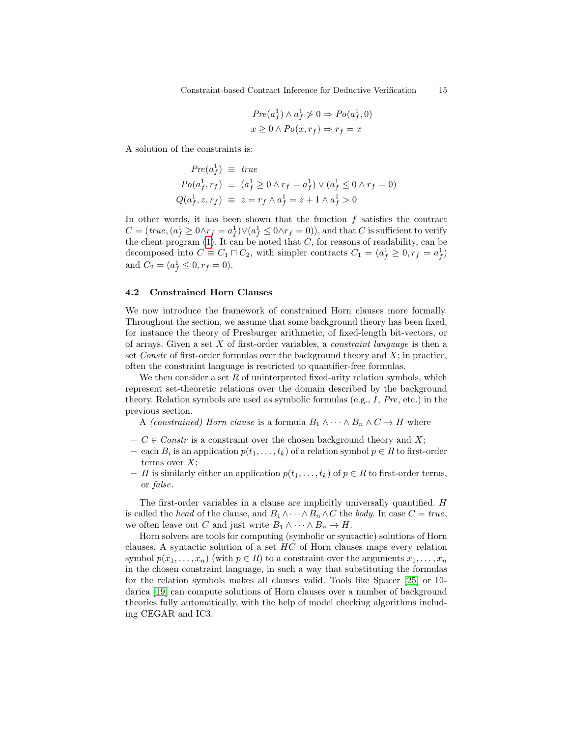$$
Pre(a_f^1) \wedge a_f^1 \not> 0 \Rightarrow Po(a_f^1, 0)
$$
  

$$
x \ge 0 \wedge Po(x, r_f) \Rightarrow r_f = x
$$

A solution of the constraints is:

$$
Pre(a_f^1) \equiv true
$$
  
\n
$$
Po(a_f^1, r_f) \equiv (a_f^1 \ge 0 \land r_f = a_f^1) \lor (a_f^1 \le 0 \land r_f = 0)
$$
  
\n
$$
Q(a_f^1, z, r_f) \equiv z = r_f \land a_f^1 = z + 1 \land a_f^1 > 0
$$

In other words, it has been shown that the function  $f$  satisfies the contract  $C = (true, (a_f^1 \ge 0 \land r_f = a_f^1) \lor (a_f^1 \le 0 \land r_f = 0)),$  and that C is sufficient to verify the client program  $(1)$ . It can be noted that C, for reasons of readability, can be decomposed into  $C \equiv C_1 \sqcap C_2$ , with simpler contracts  $C_1 = (a_f^1 \geq 0, r_f = a_f^1)$ and  $C_2 = (a_f^1 \leq 0, r_f = 0).$ 

#### 4.2 Constrained Horn Clauses

We now introduce the framework of constrained Horn clauses more formally. Throughout the section, we assume that some background theory has been fixed, for instance the theory of Presburger arithmetic, of fixed-length bit-vectors, or of arrays. Given a set  $X$  of first-order variables, a *constraint language* is then a set *Constr* of first-order formulas over the background theory and  $X$ ; in practice, often the constraint language is restricted to quantifier-free formulas.

We then consider a set  $R$  of uninterpreted fixed-arity relation symbols, which represent set-theoretic relations over the domain described by the background theory. Relation symbols are used as symbolic formulas (e.g., I, Pre, etc.) in the previous section.

A *(constrained)* Horn clause is a formula  $B_1 \wedge \cdots \wedge B_n \wedge C \rightarrow H$  where

- $C \in \text{Constr}$  is a constraint over the chosen background theory and X;
- − each  $B_i$  is an application  $p(t_1, \ldots, t_k)$  of a relation symbol  $p \in R$  to first-order terms over  $X$ ;
- H is similarly either an application  $p(t_1, \ldots, t_k)$  of  $p \in R$  to first-order terms, or false.

The first-order variables in a clause are implicitly universally quantified. H is called the head of the clause, and  $B_1 \wedge \cdots \wedge B_n \wedge C$  the body. In case  $C = true$ , we often leave out C and just write  $B_1 \wedge \cdots \wedge B_n \rightarrow H$ .

<span id="page-14-0"></span>Horn solvers are tools for computing (symbolic or syntactic) solutions of Horn clauses. A syntactic solution of a set HC of Horn clauses maps every relation symbol  $p(x_1, \ldots, x_n)$  (with  $p \in R$ ) to a constraint over the arguments  $x_1, \ldots, x_n$ in the chosen constraint language, in such a way that substituting the formulas for the relation symbols makes all clauses valid. Tools like Spacer [\[25\]](#page-26-11) or Eldarica [\[19\]](#page-26-12) can compute solutions of Horn clauses over a number of background theories fully automatically, with the help of model checking algorithms including CEGAR and IC3.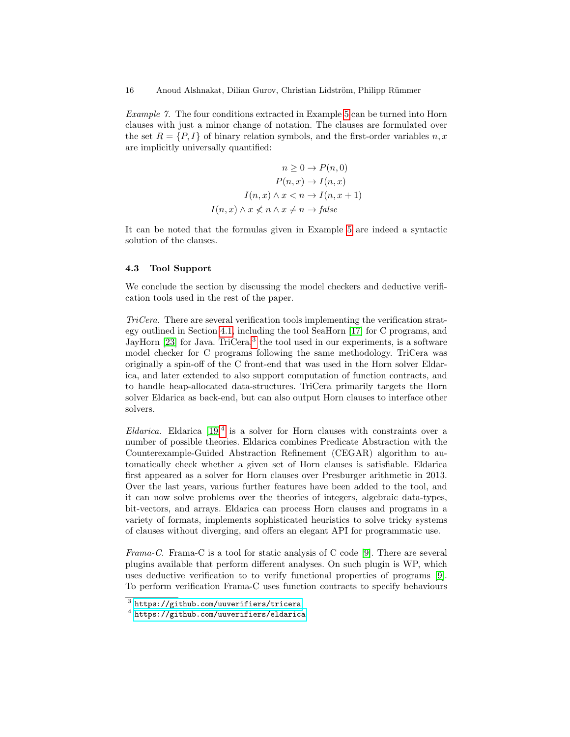Example 7. The four conditions extracted in Example [5](#page-11-1) can be turned into Horn clauses with just a minor change of notation. The clauses are formulated over the set  $R = \{P, I\}$  of binary relation symbols, and the first-order variables  $n, x$ are implicitly universally quantified:

$$
n \ge 0 \to P(n,0)
$$

$$
P(n,x) \to I(n,x)
$$

$$
I(n,x) \land x < n \to I(n,x+1)
$$

$$
I(n,x) \land x \nless n \land x \ne n \to false
$$

It can be noted that the formulas given in Example [5](#page-11-1) are indeed a syntactic solution of the clauses.

#### <span id="page-15-0"></span>4.3 Tool Support

We conclude the section by discussing the model checkers and deductive verification tools used in the rest of the paper.

TriCera. There are several verification tools implementing the verification strategy outlined in Section [4.1,](#page-9-1) including the tool SeaHorn [\[17\]](#page-26-13) for C programs, and JayHorn [\[23\]](#page-26-14) for Java. TriCera,<sup>[3](#page-15-1)</sup> the tool used in our experiments, is a software model checker for C programs following the same methodology. TriCera was originally a spin-off of the C front-end that was used in the Horn solver Eldarica, and later extended to also support computation of function contracts, and to handle heap-allocated data-structures. TriCera primarily targets the Horn solver Eldarica as back-end, but can also output Horn clauses to interface other solvers.

Eldarica. Eldarica  $[19]^4$  $[19]^4$  $[19]^4$  is a solver for Horn clauses with constraints over a number of possible theories. Eldarica combines Predicate Abstraction with the Counterexample-Guided Abstraction Refinement (CEGAR) algorithm to automatically check whether a given set of Horn clauses is satisfiable. Eldarica first appeared as a solver for Horn clauses over Presburger arithmetic in 2013. Over the last years, various further features have been added to the tool, and it can now solve problems over the theories of integers, algebraic data-types, bit-vectors, and arrays. Eldarica can process Horn clauses and programs in a variety of formats, implements sophisticated heuristics to solve tricky systems of clauses without diverging, and offers an elegant API for programmatic use.

Frama-C. Frama-C is a tool for static analysis of C code [\[9\]](#page-25-0). There are several plugins available that perform different analyses. On such plugin is WP, which uses deductive verification to to verify functional properties of programs [\[9\]](#page-25-0). To perform verification Frama-C uses function contracts to specify behaviours

<span id="page-15-1"></span> $^3$  <https://github.com/uuverifiers/tricera>

<span id="page-15-2"></span> $^4$  <https://github.com/uuverifiers/eldarica>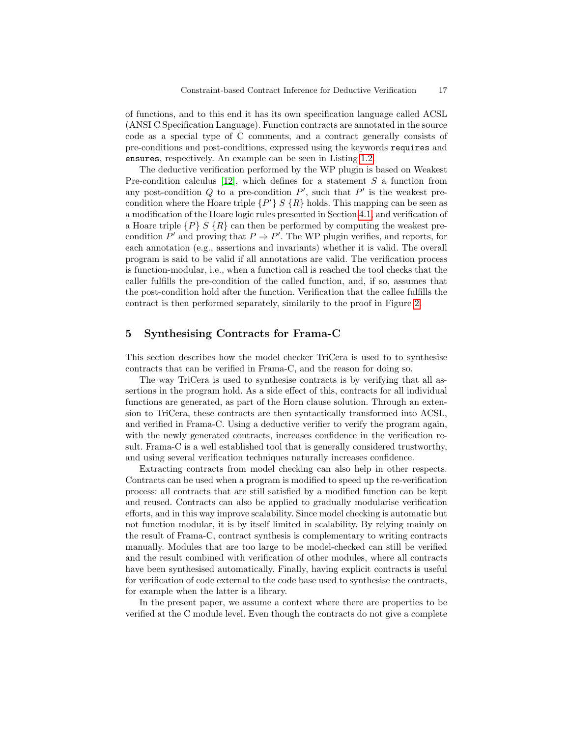of functions, and to this end it has its own specification language called ACSL (ANSI C Specification Language). Function contracts are annotated in the source code as a special type of C comments, and a contract generally consists of pre-conditions and post-conditions, expressed using the keywords requires and ensures, respectively. An example can be seen in Listing [1.2.](#page-2-1)

The deductive verification performed by the WP plugin is based on Weakest Pre-condition calculus  $[12]$ , which defines for a statement S a function from any post-condition  $Q$  to a pre-condition  $P'$ , such that  $P'$  is the weakest precondition where the Hoare triple  $\{P'\}\ S\ \{R\}$  holds. This mapping can be seen as a modification of the Hoare logic rules presented in Section [4.1,](#page-9-1) and verification of a Hoare triple  $\{P\} S \{R\}$  can then be performed by computing the weakest precondition P' and proving that  $P \Rightarrow P'$ . The WP plugin verifies, and reports, for each annotation (e.g., assertions and invariants) whether it is valid. The overall program is said to be valid if all annotations are valid. The verification process is function-modular, i.e., when a function call is reached the tool checks that the caller fulfills the pre-condition of the called function, and, if so, assumes that the post-condition hold after the function. Verification that the callee fulfills the contract is then performed separately, similarily to the proof in Figure [2.](#page-13-1)

## <span id="page-16-0"></span>5 Synthesising Contracts for Frama-C

This section describes how the model checker TriCera is used to to synthesise contracts that can be verified in Frama-C, and the reason for doing so.

The way TriCera is used to synthesise contracts is by verifying that all assertions in the program hold. As a side effect of this, contracts for all individual functions are generated, as part of the Horn clause solution. Through an extension to TriCera, these contracts are then syntactically transformed into ACSL, and verified in Frama-C. Using a deductive verifier to verify the program again, with the newly generated contracts, increases confidence in the verification result. Frama-C is a well established tool that is generally considered trustworthy, and using several verification techniques naturally increases confidence.

Extracting contracts from model checking can also help in other respects. Contracts can be used when a program is modified to speed up the re-verification process: all contracts that are still satisfied by a modified function can be kept and reused. Contracts can also be applied to gradually modularise verification efforts, and in this way improve scalability. Since model checking is automatic but not function modular, it is by itself limited in scalability. By relying mainly on the result of Frama-C, contract synthesis is complementary to writing contracts manually. Modules that are too large to be model-checked can still be verified and the result combined with verification of other modules, where all contracts have been synthesised automatically. Finally, having explicit contracts is useful for verification of code external to the code base used to synthesise the contracts, for example when the latter is a library.

In the present paper, we assume a context where there are properties to be verified at the C module level. Even though the contracts do not give a complete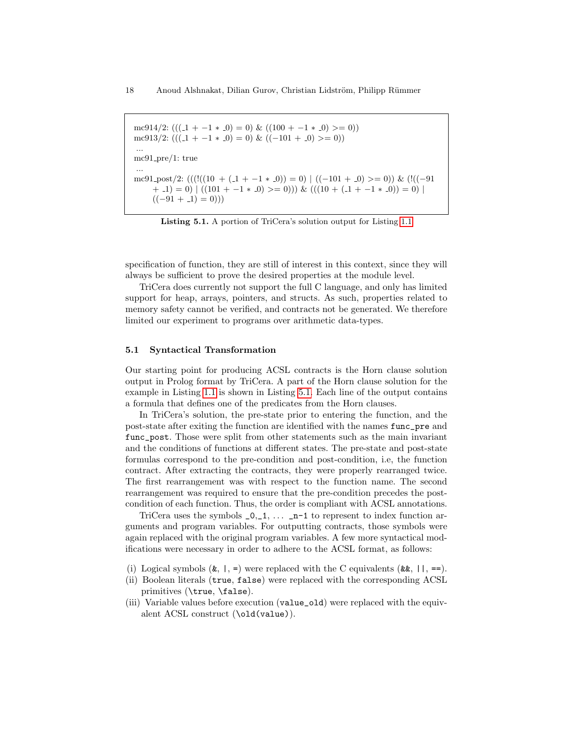<span id="page-17-0"></span>mc914/2:  $(((1 + -1 * 0) = 0) \& ((100 + -1 * 0) = 0))$ mc913/2:  $(((1 + -1 * 0) = 0) \& ((-101 + 0) > = 0))$ ...  $mc91$ -pre/1: true ... mc91\_post/2:  $(((((10 + (1 - 1 + 0) - 0)) - (101 + 0) - 0)) \& ((-91$  $+$  -1) = 0)  $((101 + -1 * 0) > = 0))$  &  $(((10 + (-1 + -1 * 0)) = 0)$  $((-91 + 1) = 0))$ 

Listing 5.1. A portion of TriCera's solution output for Listing [1.1](#page-2-0)

specification of function, they are still of interest in this context, since they will always be sufficient to prove the desired properties at the module level.

TriCera does currently not support the full C language, and only has limited support for heap, arrays, pointers, and structs. As such, properties related to memory safety cannot be verified, and contracts not be generated. We therefore limited our experiment to programs over arithmetic data-types.

#### 5.1 Syntactical Transformation

Our starting point for producing ACSL contracts is the Horn clause solution output in Prolog format by TriCera. A part of the Horn clause solution for the example in Listing [1.1](#page-2-0) is shown in Listing [5.1.](#page-17-0) Each line of the output contains a formula that defines one of the predicates from the Horn clauses.

In TriCera's solution, the pre-state prior to entering the function, and the post-state after exiting the function are identified with the names func\_pre and func\_post. Those were split from other statements such as the main invariant and the conditions of functions at different states. The pre-state and post-state formulas correspond to the pre-condition and post-condition, i.e, the function contract. After extracting the contracts, they were properly rearranged twice. The first rearrangement was with respect to the function name. The second rearrangement was required to ensure that the pre-condition precedes the postcondition of each function. Thus, the order is compliant with ACSL annotations.

TriCera uses the symbols  $\_,\_1,\ldots\_n-1$  to represent to index function arguments and program variables. For outputting contracts, those symbols were again replaced with the original program variables. A few more syntactical modifications were necessary in order to adhere to the ACSL format, as follows:

- (i) Logical symbols  $(\&, \vert, \vert)$  were replaced with the C equivalents  $(\&, \vert, \vert)$ , ==).
- (ii) Boolean literals (true, false) were replaced with the corresponding ACSL primitives (\true, \false).
- (iii) Variable values before execution (value\_old) were replaced with the equivalent ACSL construct (\old(value)).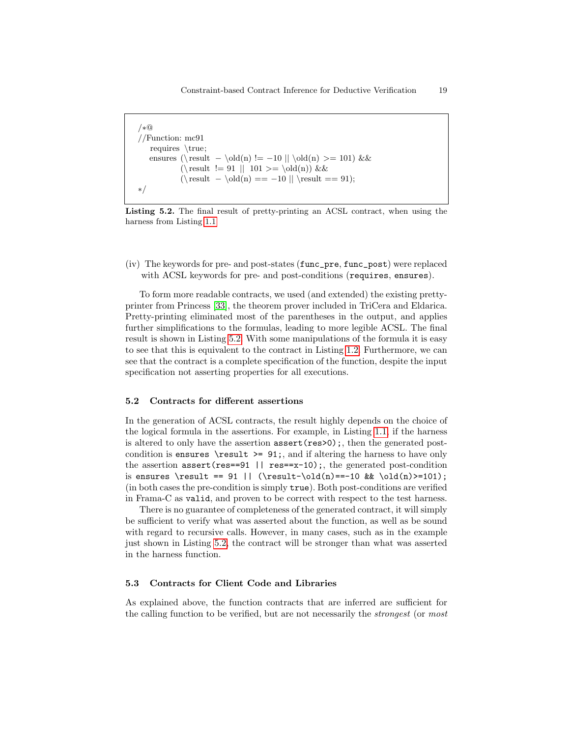<span id="page-18-0"></span>/∗@ //Function: mc91 requires \true; ensures ( $\text{ result} - \old(n) \coloneqq -10 \parallel \old(n) \geq 101$ ) &&  $(\text{result } != 91 || 101 \ge \old(n)) \&&$  $(\text{result} - \old(n) == -10 || \result == 91);$ ∗/

Listing 5.2. The final result of pretty-printing an ACSL contract, when using the harness from Listing [1.1](#page-2-0)

(iv) The keywords for pre- and post-states (func\_pre, func\_post) were replaced with ACSL keywords for pre- and post-conditions (requires, ensures).

To form more readable contracts, we used (and extended) the existing prettyprinter from Princess [\[33\]](#page-27-9), the theorem prover included in TriCera and Eldarica. Pretty-printing eliminated most of the parentheses in the output, and applies further simplifications to the formulas, leading to more legible ACSL. The final result is shown in Listing [5.2.](#page-18-0) With some manipulations of the formula it is easy to see that this is equivalent to the contract in Listing [1.2.](#page-2-1) Furthermore, we can see that the contract is a complete specification of the function, despite the input specification not asserting properties for all executions.

#### 5.2 Contracts for different assertions

In the generation of ACSL contracts, the result highly depends on the choice of the logical formula in the assertions. For example, in Listing [1.1,](#page-2-0) if the harness is altered to only have the assertion  $\text{assert}(\text{res}>0)$ ;, then the generated postcondition is ensures  $\text{result} > = 91$ ; and if altering the harness to have only the assertion  $assert(res==91$  ||  $res==x-10)$ ;, the generated post-condition is ensures \result == 91 || (\result-\old(n)==-10 && \old(n)>=101); (in both cases the pre-condition is simply true). Both post-conditions are verified in Frama-C as valid, and proven to be correct with respect to the test harness.

There is no guarantee of completeness of the generated contract, it will simply be sufficient to verify what was asserted about the function, as well as be sound with regard to recursive calls. However, in many cases, such as in the example just shown in Listing [5.2,](#page-18-0) the contract will be stronger than what was asserted in the harness function.

## 5.3 Contracts for Client Code and Libraries

As explained above, the function contracts that are inferred are sufficient for the calling function to be verified, but are not necessarily the strongest (or most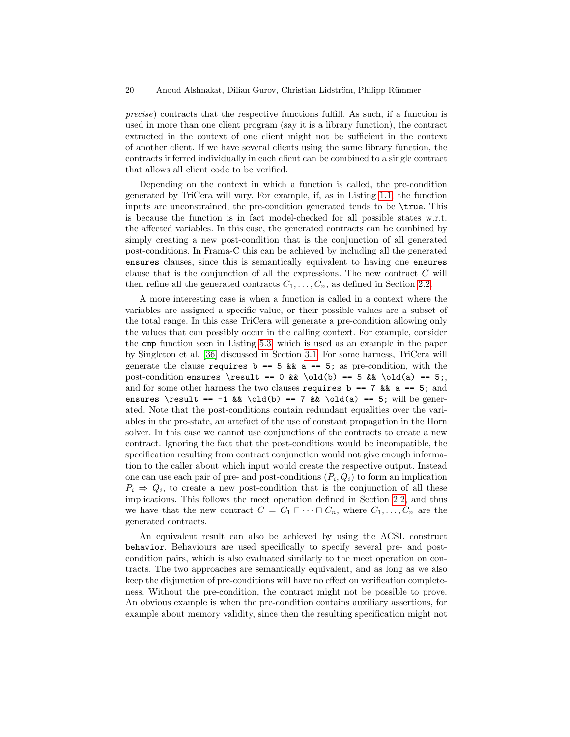precise) contracts that the respective functions fulfill. As such, if a function is used in more than one client program (say it is a library function), the contract extracted in the context of one client might not be sufficient in the context of another client. If we have several clients using the same library function, the contracts inferred individually in each client can be combined to a single contract that allows all client code to be verified.

Depending on the context in which a function is called, the pre-condition generated by TriCera will vary. For example, if, as in Listing [1.1,](#page-2-0) the function inputs are unconstrained, the pre-condition generated tends to be \true. This is because the function is in fact model-checked for all possible states w.r.t. the affected variables. In this case, the generated contracts can be combined by simply creating a new post-condition that is the conjunction of all generated post-conditions. In Frama-C this can be achieved by including all the generated ensures clauses, since this is semantically equivalent to having one ensures clause that is the conjunction of all the expressions. The new contract  $C$  will then refine all the generated contracts  $C_1, \ldots, C_n$ , as defined in Section [2.2.](#page-4-0)

A more interesting case is when a function is called in a context where the variables are assigned a specific value, or their possible values are a subset of the total range. In this case TriCera will generate a pre-condition allowing only the values that can possibly occur in the calling context. For example, consider the cmp function seen in Listing [5.3,](#page-20-1) which is used as an example in the paper by Singleton et al. [\[36\]](#page-27-3) discussed in Section [3.1.](#page-6-1) For some harness, TriCera will generate the clause requires  $b == 5$  & a == 5; as pre-condition, with the post-condition ensures \result == 0 && \old(b) == 5 && \old(a) == 5;, and for some other harness the two clauses requires  $b == 7$  & a == 5; and ensures \result == -1 && \old(b) == 7 && \old(a) == 5; will be generated. Note that the post-conditions contain redundant equalities over the variables in the pre-state, an artefact of the use of constant propagation in the Horn solver. In this case we cannot use conjunctions of the contracts to create a new contract. Ignoring the fact that the post-conditions would be incompatible, the specification resulting from contract conjunction would not give enough information to the caller about which input would create the respective output. Instead one can use each pair of pre- and post-conditions  $(P_i, Q_i)$  to form an implication  $P_i \Rightarrow Q_i$ , to create a new post-condition that is the conjunction of all these implications. This follows the meet operation defined in Section [2.2,](#page-4-0) and thus we have that the new contract  $C = C_1 \sqcap \cdots \sqcap C_n$ , where  $C_1, \ldots, C_n$  are the generated contracts.

An equivalent result can also be achieved by using the ACSL construct behavior. Behaviours are used specifically to specify several pre- and postcondition pairs, which is also evaluated similarly to the meet operation on contracts. The two approaches are semantically equivalent, and as long as we also keep the disjunction of pre-conditions will have no effect on verification completeness. Without the pre-condition, the contract might not be possible to prove. An obvious example is when the pre-condition contains auxiliary assertions, for example about memory validity, since then the resulting specification might not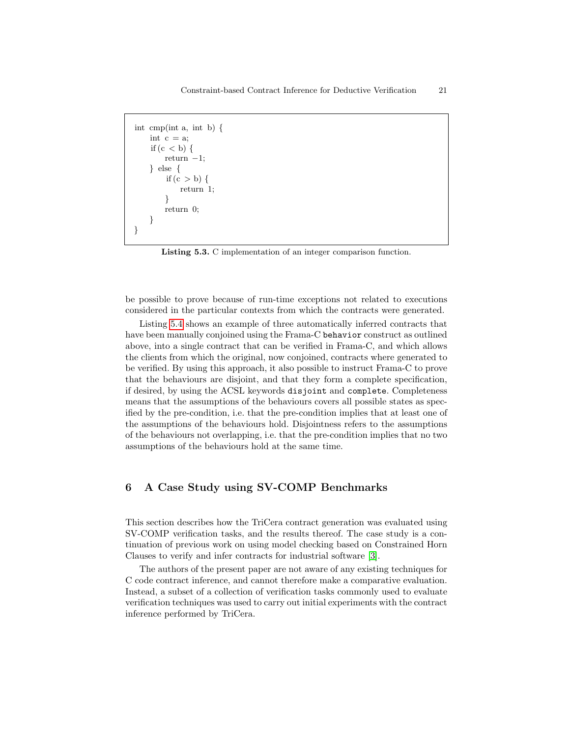```
int cmp(int a, int b) {
    int c = a;
    if (c < b) {
        return -1;
    } else {
        if (c > b) {
            return 1;
        }
        return 0;
    }
}
```
Listing 5.3. C implementation of an integer comparison function.

be possible to prove because of run-time exceptions not related to executions considered in the particular contexts from which the contracts were generated.

Listing [5.4](#page-21-0) shows an example of three automatically inferred contracts that have been manually conjoined using the Frama-C behavior construct as outlined above, into a single contract that can be verified in Frama-C, and which allows the clients from which the original, now conjoined, contracts where generated to be verified. By using this approach, it also possible to instruct Frama-C to prove that the behaviours are disjoint, and that they form a complete specification, if desired, by using the ACSL keywords disjoint and complete. Completeness means that the assumptions of the behaviours covers all possible states as specified by the pre-condition, i.e. that the pre-condition implies that at least one of the assumptions of the behaviours hold. Disjointness refers to the assumptions of the behaviours not overlapping, i.e. that the pre-condition implies that no two assumptions of the behaviours hold at the same time.

## <span id="page-20-0"></span>6 A Case Study using SV-COMP Benchmarks

This section describes how the TriCera contract generation was evaluated using SV-COMP verification tasks, and the results thereof. The case study is a continuation of previous work on using model checking based on Constrained Horn Clauses to verify and infer contracts for industrial software [\[3\]](#page-25-9).

The authors of the present paper are not aware of any existing techniques for C code contract inference, and cannot therefore make a comparative evaluation. Instead, a subset of a collection of verification tasks commonly used to evaluate verification techniques was used to carry out initial experiments with the contract inference performed by TriCera.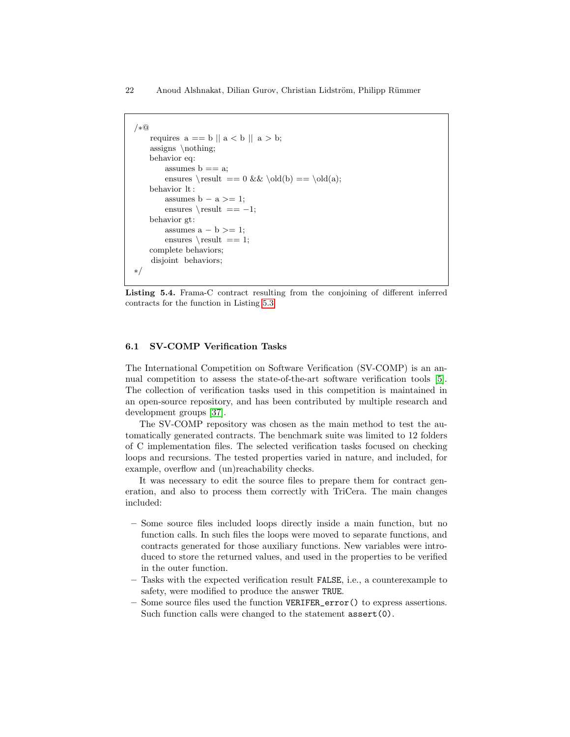```
/∗@
    requires a == b \parallel a < b \parallel a > b;assigns \nothing;
    behavior eq:
        assumes b == a;
        ensures \text{ result} == 0 \&& \old(b) == \old(a);behavior lt :
        assumes b - a \geq 1;
         ensures \text{result} == -1;behavior gt:
        assumes a - b \geq 1;
         ensures \text{result} == 1;complete behaviors;
    disjoint behaviors;
∗/
```
Listing 5.4. Frama-C contract resulting from the conjoining of different inferred contracts for the function in Listing [5.3.](#page-20-1)

#### 6.1 SV-COMP Verification Tasks

The International Competition on Software Verification (SV-COMP) is an annual competition to assess the state-of-the-art software verification tools [\[5\]](#page-25-4). The collection of verification tasks used in this competition is maintained in an open-source repository, and has been contributed by multiple research and development groups [\[37\]](#page-27-10).

The SV-COMP repository was chosen as the main method to test the automatically generated contracts. The benchmark suite was limited to 12 folders of C implementation files. The selected verification tasks focused on checking loops and recursions. The tested properties varied in nature, and included, for example, overflow and (un)reachability checks.

It was necessary to edit the source files to prepare them for contract generation, and also to process them correctly with TriCera. The main changes included:

- Some source files included loops directly inside a main function, but no function calls. In such files the loops were moved to separate functions, and contracts generated for those auxiliary functions. New variables were introduced to store the returned values, and used in the properties to be verified in the outer function.
- Tasks with the expected verification result FALSE, i.e., a counterexample to safety, were modified to produce the answer TRUE.
- Some source files used the function VERIFER\_error() to express assertions. Such function calls were changed to the statement  $assert(0)$ .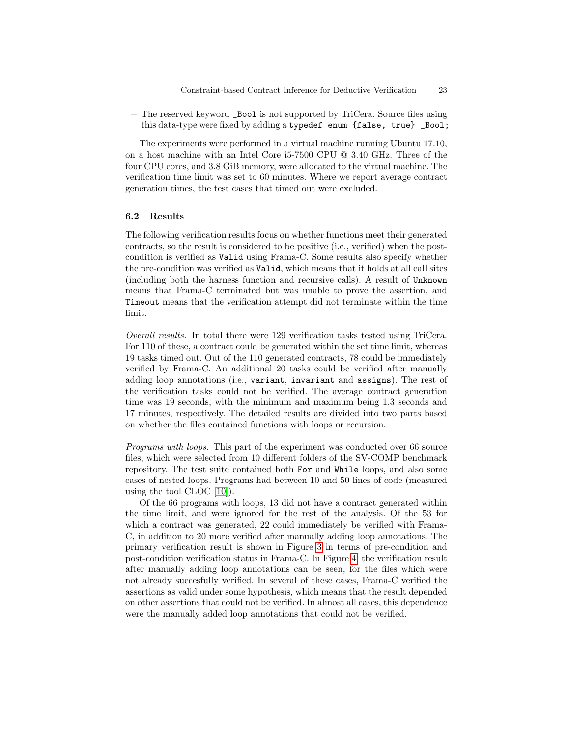– The reserved keyword \_Bool is not supported by TriCera. Source files using this data-type were fixed by adding a typedef enum {false, true} \_Bool;

The experiments were performed in a virtual machine running Ubuntu 17.10, on a host machine with an Intel Core i5-7500 CPU @ 3.40 GHz. Three of the four CPU cores, and 3.8 GiB memory, were allocated to the virtual machine. The verification time limit was set to 60 minutes. Where we report average contract generation times, the test cases that timed out were excluded.

#### 6.2 Results

The following verification results focus on whether functions meet their generated contracts, so the result is considered to be positive (i.e., verified) when the postcondition is verified as Valid using Frama-C. Some results also specify whether the pre-condition was verified as Valid, which means that it holds at all call sites (including both the harness function and recursive calls). A result of Unknown means that Frama-C terminated but was unable to prove the assertion, and Timeout means that the verification attempt did not terminate within the time limit.

Overall results. In total there were 129 verification tasks tested using TriCera. For 110 of these, a contract could be generated within the set time limit, whereas 19 tasks timed out. Out of the 110 generated contracts, 78 could be immediately verified by Frama-C. An additional 20 tasks could be verified after manually adding loop annotations (i.e., variant, invariant and assigns). The rest of the verification tasks could not be verified. The average contract generation time was 19 seconds, with the minimum and maximum being 1.3 seconds and 17 minutes, respectively. The detailed results are divided into two parts based on whether the files contained functions with loops or recursion.

Programs with loops. This part of the experiment was conducted over 66 source files, which were selected from 10 different folders of the SV-COMP benchmark repository. The test suite contained both For and While loops, and also some cases of nested loops. Programs had between 10 and 50 lines of code (measured using the tool CLOC [\[10\]](#page-25-10)).

Of the 66 programs with loops, 13 did not have a contract generated within the time limit, and were ignored for the rest of the analysis. Of the 53 for which a contract was generated, 22 could immediately be verified with Frama-C, in addition to 20 more verified after manually adding loop annotations. The primary verification result is shown in Figure [3](#page-23-0) in terms of pre-condition and post-condition verification status in Frama-C. In Figure [4,](#page-23-1) the verification result after manually adding loop annotations can be seen, for the files which were not already succesfully verified. In several of these cases, Frama-C verified the assertions as valid under some hypothesis, which means that the result depended on other assertions that could not be verified. In almost all cases, this dependence were the manually added loop annotations that could not be verified.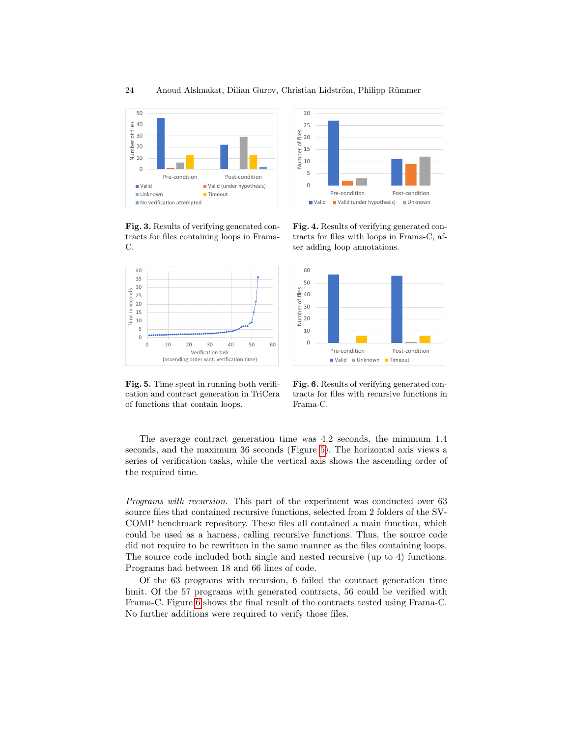

<span id="page-23-0"></span>Fig. 3. Results of verifying generated contracts for files containing loops in Frama-C.



<span id="page-23-2"></span>Fig. 5. Time spent in running both verification and contract generation in TriCera of functions that contain loops.



<span id="page-23-1"></span>Fig. 4. Results of verifying generated contracts for files with loops in Frama-C, after adding loop annotations.



<span id="page-23-3"></span>Fig. 6. Results of verifying generated contracts for files with recursive functions in Frama-C.

The average contract generation time was 4.2 seconds, the minimum 1.4 seconds, and the maximum 36 seconds (Figure [5\)](#page-23-2). The horizontal axis views a series of verification tasks, while the vertical axis shows the ascending order of the required time.

Programs with recursion. This part of the experiment was conducted over 63 source files that contained recursive functions, selected from 2 folders of the SV-COMP benchmark repository. These files all contained a main function, which could be used as a harness, calling recursive functions. Thus, the source code did not require to be rewritten in the same manner as the files containing loops. The source code included both single and nested recursive (up to 4) functions. Programs had between 18 and 66 lines of code.

Of the 63 programs with recursion, 6 failed the contract generation time limit. Of the 57 programs with generated contracts, 56 could be verified with Frama-C. Figure [6](#page-23-3) shows the final result of the contracts tested using Frama-C. No further additions were required to verify those files.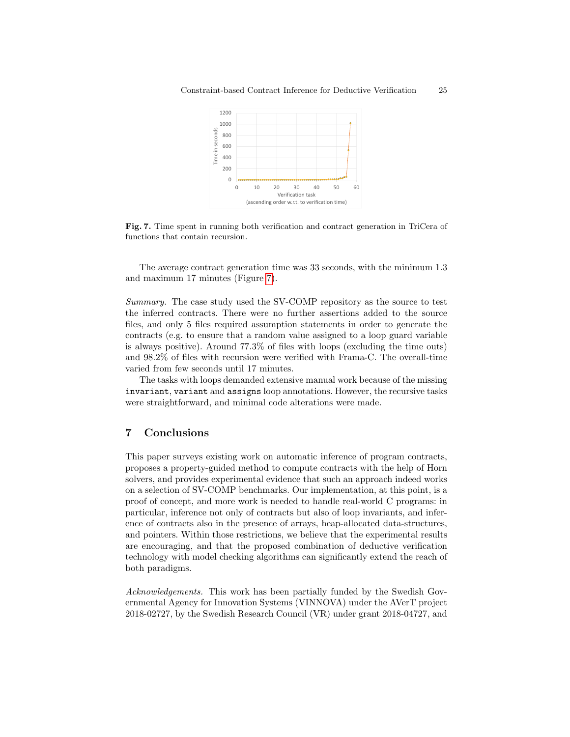

<span id="page-24-0"></span>Fig. 7. Time spent in running both verification and contract generation in TriCera of functions that contain recursion.

The average contract generation time was 33 seconds, with the minimum 1.3 and maximum 17 minutes (Figure [7\)](#page-24-0).

Summary. The case study used the SV-COMP repository as the source to test the inferred contracts. There were no further assertions added to the source files, and only 5 files required assumption statements in order to generate the contracts (e.g. to ensure that a random value assigned to a loop guard variable is always positive). Around 77.3% of files with loops (excluding the time outs) and 98.2% of files with recursion were verified with Frama-C. The overall-time varied from few seconds until 17 minutes.

The tasks with loops demanded extensive manual work because of the missing invariant, variant and assigns loop annotations. However, the recursive tasks were straightforward, and minimal code alterations were made.

## 7 Conclusions

This paper surveys existing work on automatic inference of program contracts, proposes a property-guided method to compute contracts with the help of Horn solvers, and provides experimental evidence that such an approach indeed works on a selection of SV-COMP benchmarks. Our implementation, at this point, is a proof of concept, and more work is needed to handle real-world C programs: in particular, inference not only of contracts but also of loop invariants, and inference of contracts also in the presence of arrays, heap-allocated data-structures, and pointers. Within those restrictions, we believe that the experimental results are encouraging, and that the proposed combination of deductive verification technology with model checking algorithms can significantly extend the reach of both paradigms.

Acknowledgements. This work has been partially funded by the Swedish Governmental Agency for Innovation Systems (VINNOVA) under the AVerT project 2018-02727, by the Swedish Research Council (VR) under grant 2018-04727, and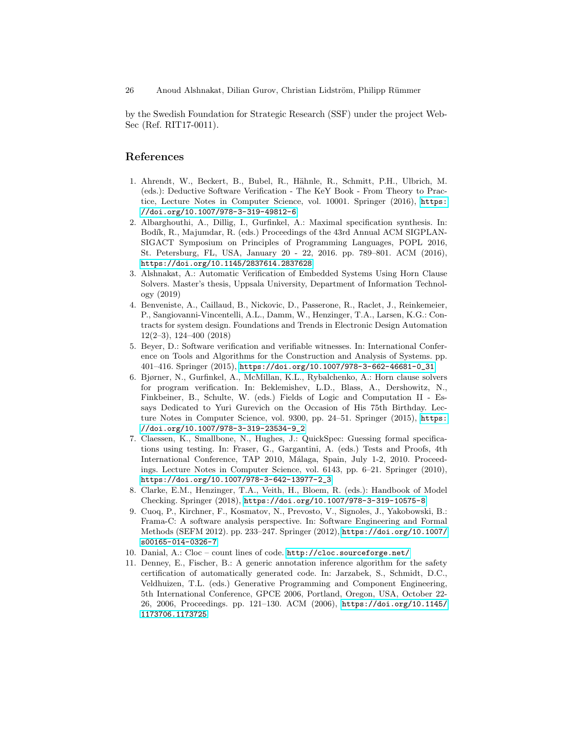by the Swedish Foundation for Strategic Research (SSF) under the project Web-Sec (Ref. RIT17-0011).

### References

- <span id="page-25-1"></span>1. Ahrendt, W., Beckert, B., Bubel, R., Hähnle, R., Schmitt, P.H., Ulbrich, M. (eds.): Deductive Software Verification - The KeY Book - From Theory to Practice, Lecture Notes in Computer Science, vol. 10001. Springer (2016), [https:](https://doi.org/10.1007/978-3-319-49812-6) [//doi.org/10.1007/978-3-319-49812-6](https://doi.org/10.1007/978-3-319-49812-6)
- <span id="page-25-6"></span>2. Albarghouthi, A., Dillig, I., Gurfinkel, A.: Maximal specification synthesis. In: Bodík, R., Majumdar, R. (eds.) Proceedings of the 43rd Annual ACM SIGPLAN-SIGACT Symposium on Principles of Programming Languages, POPL 2016, St. Petersburg, FL, USA, January 20 - 22, 2016. pp. 789–801. ACM (2016), <https://doi.org/10.1145/2837614.2837628>
- <span id="page-25-9"></span>3. Alshnakat, A.: Automatic Verification of Embedded Systems Using Horn Clause Solvers. Master's thesis, Uppsala University, Department of Information Technology (2019)
- <span id="page-25-5"></span>4. Benveniste, A., Caillaud, B., Nickovic, D., Passerone, R., Raclet, J., Reinkemeier, P., Sangiovanni-Vincentelli, A.L., Damm, W., Henzinger, T.A., Larsen, K.G.: Contracts for system design. Foundations and Trends in Electronic Design Automation 12(2–3), 124–400 (2018)
- <span id="page-25-4"></span>5. Beyer, D.: Software verification and verifiable witnesses. In: International Conference on Tools and Algorithms for the Construction and Analysis of Systems. pp. 401–416. Springer (2015), [https://doi.org/10.1007/978-3-662-46681-0\\_31](https://doi.org/10.1007/978-3-662-46681-0_31)
- <span id="page-25-3"></span>6. Bjørner, N., Gurfinkel, A., McMillan, K.L., Rybalchenko, A.: Horn clause solvers for program verification. In: Beklemishev, L.D., Blass, A., Dershowitz, N., Finkbeiner, B., Schulte, W. (eds.) Fields of Logic and Computation II - Essays Dedicated to Yuri Gurevich on the Occasion of His 75th Birthday. Lecture Notes in Computer Science, vol. 9300, pp. 24–51. Springer (2015), [https:](https://doi.org/10.1007/978-3-319-23534-9_2) [//doi.org/10.1007/978-3-319-23534-9\\_2](https://doi.org/10.1007/978-3-319-23534-9_2)
- <span id="page-25-7"></span>7. Claessen, K., Smallbone, N., Hughes, J.: QuickSpec: Guessing formal specifications using testing. In: Fraser, G., Gargantini, A. (eds.) Tests and Proofs, 4th International Conference, TAP 2010, Málaga, Spain, July 1-2, 2010. Proceedings. Lecture Notes in Computer Science, vol. 6143, pp. 6–21. Springer (2010), [https://doi.org/10.1007/978-3-642-13977-2\\_3](https://doi.org/10.1007/978-3-642-13977-2_3)
- <span id="page-25-2"></span>8. Clarke, E.M., Henzinger, T.A., Veith, H., Bloem, R. (eds.): Handbook of Model Checking. Springer (2018), <https://doi.org/10.1007/978-3-319-10575-8>
- <span id="page-25-0"></span>9. Cuoq, P., Kirchner, F., Kosmatov, N., Prevosto, V., Signoles, J., Yakobowski, B.: Frama-C: A software analysis perspective. In: Software Engineering and Formal Methods (SEFM 2012). pp. 233–247. Springer (2012), [https://doi.org/10.1007/](https://doi.org/10.1007/s00165-014-0326-7) [s00165-014-0326-7](https://doi.org/10.1007/s00165-014-0326-7)
- <span id="page-25-10"></span>10. Danial, A.: Cloc – count lines of code. <http://cloc.sourceforge.net/>
- <span id="page-25-8"></span>11. Denney, E., Fischer, B.: A generic annotation inference algorithm for the safety certification of automatically generated code. In: Jarzabek, S., Schmidt, D.C., Veldhuizen, T.L. (eds.) Generative Programming and Component Engineering, 5th International Conference, GPCE 2006, Portland, Oregon, USA, October 22- 26, 2006, Proceedings. pp. 121–130. ACM (2006), [https://doi.org/10.1145/](https://doi.org/10.1145/1173706.1173725) [1173706.1173725](https://doi.org/10.1145/1173706.1173725)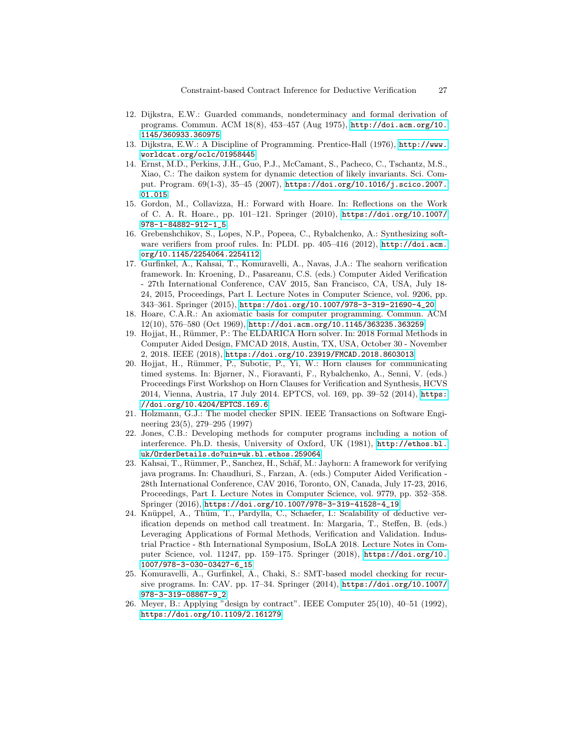- <span id="page-26-8"></span>12. Dijkstra, E.W.: Guarded commands, nondeterminacy and formal derivation of programs. Commun. ACM 18(8), 453–457 (Aug 1975), [http://doi.acm.org/10.](http://doi.acm.org/10.1145/360933.360975) [1145/360933.360975](http://doi.acm.org/10.1145/360933.360975)
- <span id="page-26-6"></span>13. Dijkstra, E.W.: A Discipline of Programming. Prentice-Hall (1976), [http://www.](http://www.worldcat.org/oclc/01958445) [worldcat.org/oclc/01958445](http://www.worldcat.org/oclc/01958445)
- <span id="page-26-9"></span>14. Ernst, M.D., Perkins, J.H., Guo, P.J., McCamant, S., Pacheco, C., Tschantz, M.S., Xiao, C.: The daikon system for dynamic detection of likely invariants. Sci. Comput. Program. 69(1-3), 35–45 (2007), [https://doi.org/10.1016/j.scico.2007.](https://doi.org/10.1016/j.scico.2007.01.015) [01.015](https://doi.org/10.1016/j.scico.2007.01.015)
- <span id="page-26-7"></span>15. Gordon, M., Collavizza, H.: Forward with Hoare. In: Reflections on the Work of C. A. R. Hoare., pp. 101–121. Springer (2010), [https://doi.org/10.1007/](https://doi.org/10.1007/978-1-84882-912-1_5) [978-1-84882-912-1\\_5](https://doi.org/10.1007/978-1-84882-912-1_5)
- <span id="page-26-2"></span>16. Grebenshchikov, S., Lopes, N.P., Popeea, C., Rybalchenko, A.: Synthesizing software verifiers from proof rules. In: PLDI. pp. 405–416 (2012), [http://doi.acm.](http://doi.acm.org/10.1145/2254064.2254112) [org/10.1145/2254064.2254112](http://doi.acm.org/10.1145/2254064.2254112)
- <span id="page-26-13"></span>17. Gurfinkel, A., Kahsai, T., Komuravelli, A., Navas, J.A.: The seahorn verification framework. In: Kroening, D., Pasareanu, C.S. (eds.) Computer Aided Verification - 27th International Conference, CAV 2015, San Francisco, CA, USA, July 18- 24, 2015, Proceedings, Part I. Lecture Notes in Computer Science, vol. 9206, pp. 343–361. Springer (2015), [https://doi.org/10.1007/978-3-319-21690-4\\_20](https://doi.org/10.1007/978-3-319-21690-4_20)
- <span id="page-26-10"></span>18. Hoare, C.A.R.: An axiomatic basis for computer programming. Commun. ACM 12(10), 576–580 (Oct 1969), <http://doi.acm.org/10.1145/363235.363259>
- <span id="page-26-12"></span>19. Hojjat, H., R¨ummer, P.: The ELDARICA Horn solver. In: 2018 Formal Methods in Computer Aided Design, FMCAD 2018, Austin, TX, USA, October 30 - November 2, 2018. IEEE (2018), <https://doi.org/10.23919/FMCAD.2018.8603013>
- <span id="page-26-3"></span>20. Hojjat, H., Rümmer, P., Subotic, P., Yi, W.: Horn clauses for communicating timed systems. In: Bjørner, N., Fioravanti, F., Rybalchenko, A., Senni, V. (eds.) Proceedings First Workshop on Horn Clauses for Verification and Synthesis, HCVS 2014, Vienna, Austria, 17 July 2014. EPTCS, vol. 169, pp. 39–52 (2014), [https:](https://doi.org/10.4204/EPTCS.169.6) [//doi.org/10.4204/EPTCS.169.6](https://doi.org/10.4204/EPTCS.169.6)
- <span id="page-26-0"></span>21. Holzmann, G.J.: The model checker SPIN. IEEE Transactions on Software Engineering 23(5), 279–295 (1997)
- <span id="page-26-1"></span>22. Jones, C.B.: Developing methods for computer programs including a notion of interference. Ph.D. thesis, University of Oxford, UK (1981), [http://ethos.bl.](http://ethos.bl.uk/OrderDetails.do?uin=uk.bl.ethos.259064) [uk/OrderDetails.do?uin=uk.bl.ethos.259064](http://ethos.bl.uk/OrderDetails.do?uin=uk.bl.ethos.259064)
- <span id="page-26-14"></span>23. Kahsai, T., Rümmer, P., Sanchez, H., Schäf, M.: Jayhorn: A framework for verifying java programs. In: Chaudhuri, S., Farzan, A. (eds.) Computer Aided Verification - 28th International Conference, CAV 2016, Toronto, ON, Canada, July 17-23, 2016, Proceedings, Part I. Lecture Notes in Computer Science, vol. 9779, pp. 352–358. Springer (2016), [https://doi.org/10.1007/978-3-319-41528-4\\_19](https://doi.org/10.1007/978-3-319-41528-4_19)
- <span id="page-26-5"></span>24. Knüppel, A., Thüm, T., Pardylla, C., Schaefer, I.: Scalability of deductive verification depends on method call treatment. In: Margaria, T., Steffen, B. (eds.) Leveraging Applications of Formal Methods, Verification and Validation. Industrial Practice - 8th International Symposium, ISoLA 2018. Lecture Notes in Computer Science, vol. 11247, pp. 159–175. Springer (2018), [https://doi.org/10.](https://doi.org/10.1007/978-3-030-03427-6_15) [1007/978-3-030-03427-6\\_15](https://doi.org/10.1007/978-3-030-03427-6_15)
- <span id="page-26-11"></span>25. Komuravelli, A., Gurfinkel, A., Chaki, S.: SMT-based model checking for recursive programs. In: CAV. pp. 17–34. Springer (2014), [https://doi.org/10.1007/](https://doi.org/10.1007/978-3-319-08867-9_2) [978-3-319-08867-9\\_2](https://doi.org/10.1007/978-3-319-08867-9_2)
- <span id="page-26-4"></span>26. Meyer, B.: Applying "design by contract". IEEE Computer 25(10), 40–51 (1992), <https://doi.org/10.1109/2.161279>